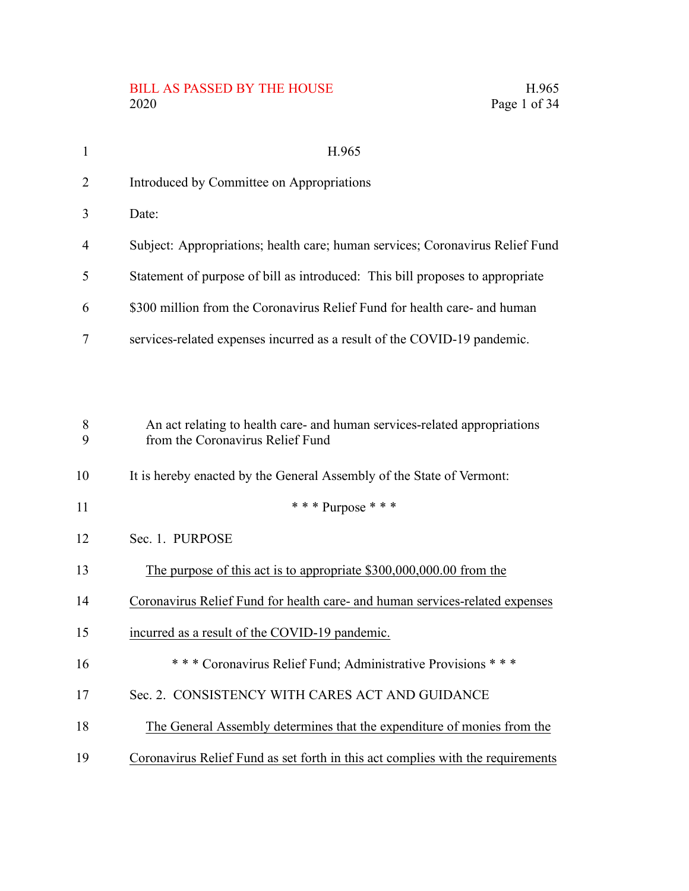# BILL AS PASSED BY THE HOUSE H.965<br>2020 Page 1 of 34

| $\mathbf{1}$ | H.965                                                                                                         |
|--------------|---------------------------------------------------------------------------------------------------------------|
| 2            | Introduced by Committee on Appropriations                                                                     |
| 3            | Date:                                                                                                         |
| 4            | Subject: Appropriations; health care; human services; Coronavirus Relief Fund                                 |
| 5            | Statement of purpose of bill as introduced: This bill proposes to appropriate                                 |
| 6            | \$300 million from the Coronavirus Relief Fund for health care- and human                                     |
| 7            | services-related expenses incurred as a result of the COVID-19 pandemic.                                      |
|              |                                                                                                               |
|              |                                                                                                               |
| 8<br>9       | An act relating to health care- and human services-related appropriations<br>from the Coronavirus Relief Fund |
| 10           | It is hereby enacted by the General Assembly of the State of Vermont:                                         |
| 11           | *** Purpose ***                                                                                               |
| 12           | Sec. 1. PURPOSE                                                                                               |
| 13           | The purpose of this act is to appropriate \$300,000,000.00 from the                                           |
| 14           | Coronavirus Relief Fund for health care- and human services-related expenses                                  |
| 15           | incurred as a result of the COVID-19 pandemic.                                                                |
| 16           | *** Coronavirus Relief Fund; Administrative Provisions ***                                                    |
| 17           | Sec. 2. CONSISTENCY WITH CARES ACT AND GUIDANCE                                                               |
| 18           | The General Assembly determines that the expenditure of monies from the                                       |
| 19           | Coronavirus Relief Fund as set forth in this act complies with the requirements                               |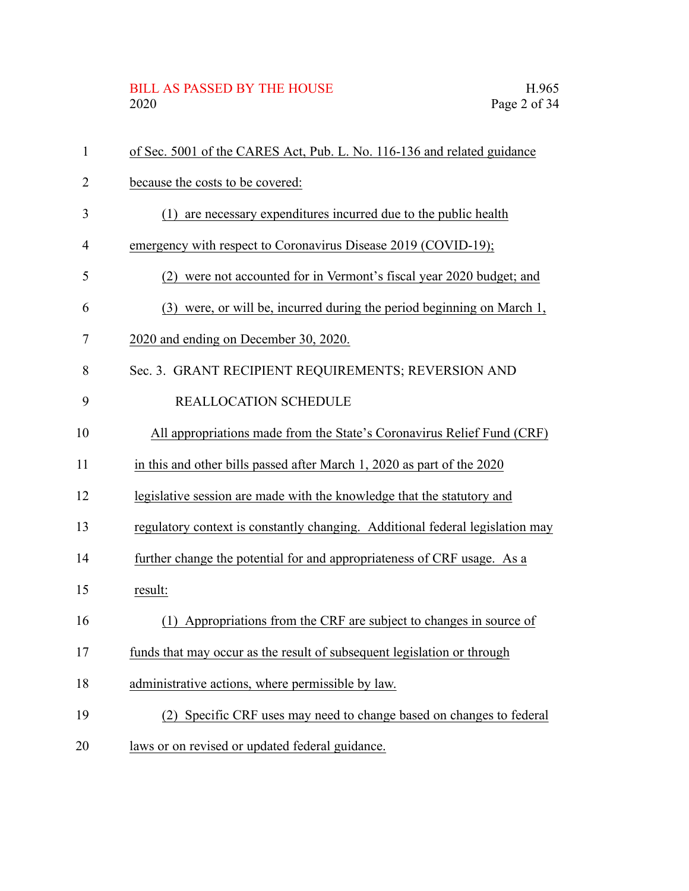## BILL AS PASSED BY THE HOUSE H.965<br>2020 Page 2 of 34

| 1  | of Sec. 5001 of the CARES Act, Pub. L. No. 116-136 and related guidance       |
|----|-------------------------------------------------------------------------------|
| 2  | because the costs to be covered:                                              |
| 3  | are necessary expenditures incurred due to the public health<br>(1)           |
| 4  | emergency with respect to Coronavirus Disease 2019 (COVID-19);                |
| 5  | were not accounted for in Vermont's fiscal year 2020 budget; and<br>(2)       |
| 6  | were, or will be, incurred during the period beginning on March 1,<br>(3)     |
| 7  | 2020 and ending on December 30, 2020.                                         |
| 8  | Sec. 3. GRANT RECIPIENT REQUIREMENTS; REVERSION AND                           |
| 9  | REALLOCATION SCHEDULE                                                         |
| 10 | All appropriations made from the State's Coronavirus Relief Fund (CRF)        |
| 11 | in this and other bills passed after March 1, 2020 as part of the 2020        |
| 12 | legislative session are made with the knowledge that the statutory and        |
| 13 | regulatory context is constantly changing. Additional federal legislation may |
| 14 | further change the potential for and appropriateness of CRF usage. As a       |
| 15 | result:                                                                       |
| 16 | (1) Appropriations from the CRF are subject to changes in source of           |
| 17 | funds that may occur as the result of subsequent legislation or through       |
| 18 | administrative actions, where permissible by law.                             |
| 19 | Specific CRF uses may need to change based on changes to federal<br>(2)       |
| 20 | laws or on revised or updated federal guidance.                               |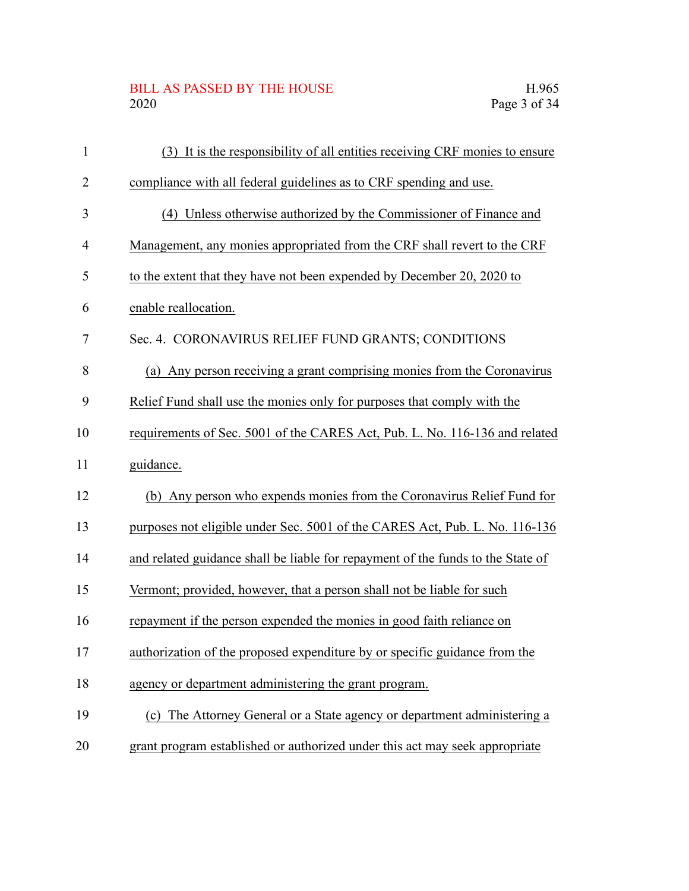# BILL AS PASSED BY THE HOUSE H.965<br>2020 Page 3 of 34

| 1              | (3) It is the responsibility of all entities receiving CRF monies to ensure     |
|----------------|---------------------------------------------------------------------------------|
| $\overline{2}$ | compliance with all federal guidelines as to CRF spending and use.              |
| 3              | (4) Unless otherwise authorized by the Commissioner of Finance and              |
| 4              | Management, any monies appropriated from the CRF shall revert to the CRF        |
| 5              | to the extent that they have not been expended by December 20, 2020 to          |
| 6              | enable reallocation.                                                            |
| 7              | Sec. 4. CORONAVIRUS RELIEF FUND GRANTS; CONDITIONS                              |
| 8              | (a) Any person receiving a grant comprising monies from the Coronavirus         |
| 9              | Relief Fund shall use the monies only for purposes that comply with the         |
| 10             | requirements of Sec. 5001 of the CARES Act, Pub. L. No. 116-136 and related     |
| 11             | guidance.                                                                       |
| 12             | (b) Any person who expends monies from the Coronavirus Relief Fund for          |
| 13             | purposes not eligible under Sec. 5001 of the CARES Act, Pub. L. No. 116-136     |
| 14             | and related guidance shall be liable for repayment of the funds to the State of |
| 15             | Vermont; provided, however, that a person shall not be liable for such          |
| 16             | repayment if the person expended the monies in good faith reliance on           |
| 17             | authorization of the proposed expenditure by or specific guidance from the      |
| 18             | agency or department administering the grant program.                           |
| 19             | (c) The Attorney General or a State agency or department administering a        |
| 20             | grant program established or authorized under this act may seek appropriate     |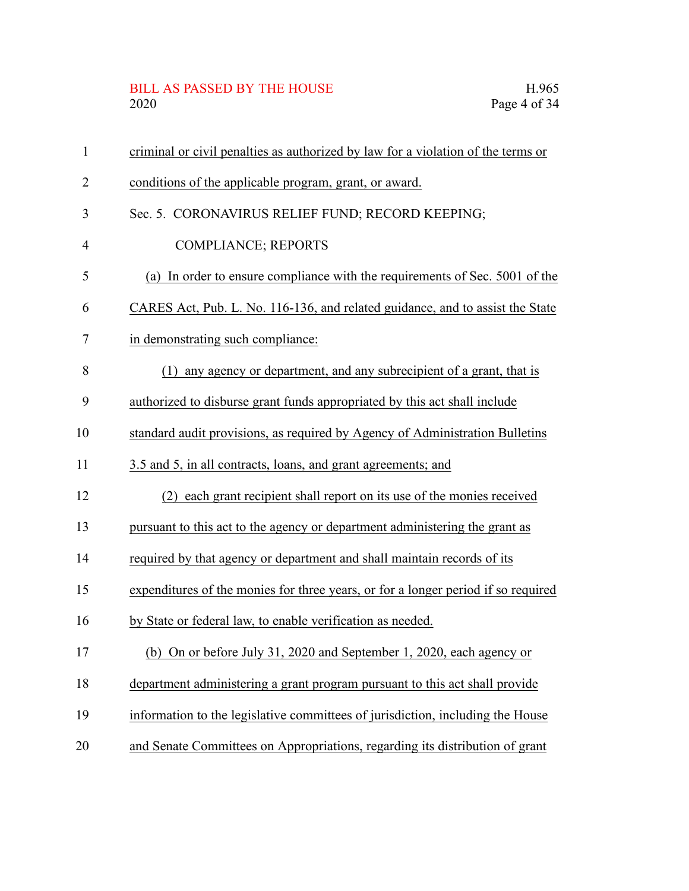# BILL AS PASSED BY THE HOUSE H.965<br>2020 Page 4 of 34

| $\mathbf{1}$   | criminal or civil penalties as authorized by law for a violation of the terms or  |
|----------------|-----------------------------------------------------------------------------------|
| 2              | conditions of the applicable program, grant, or award.                            |
| 3              | Sec. 5. CORONAVIRUS RELIEF FUND; RECORD KEEPING;                                  |
| $\overline{4}$ | <b>COMPLIANCE; REPORTS</b>                                                        |
| 5              | (a) In order to ensure compliance with the requirements of Sec. 5001 of the       |
| 6              | CARES Act, Pub. L. No. 116-136, and related guidance, and to assist the State     |
| 7              | in demonstrating such compliance:                                                 |
| 8              | any agency or department, and any subrecipient of a grant, that is<br>(1)         |
| 9              | authorized to disburse grant funds appropriated by this act shall include         |
| 10             | standard audit provisions, as required by Agency of Administration Bulletins      |
| 11             | 3.5 and 5, in all contracts, loans, and grant agreements; and                     |
| 12             | (2) each grant recipient shall report on its use of the monies received           |
| 13             | pursuant to this act to the agency or department administering the grant as       |
| 14             | required by that agency or department and shall maintain records of its           |
| 15             | expenditures of the monies for three years, or for a longer period if so required |
| 16             | by State or federal law, to enable verification as needed.                        |
| 17             | (b) On or before July 31, 2020 and September 1, 2020, each agency or              |
| 18             | department administering a grant program pursuant to this act shall provide       |
| 19             | information to the legislative committees of jurisdiction, including the House    |
| 20             | and Senate Committees on Appropriations, regarding its distribution of grant      |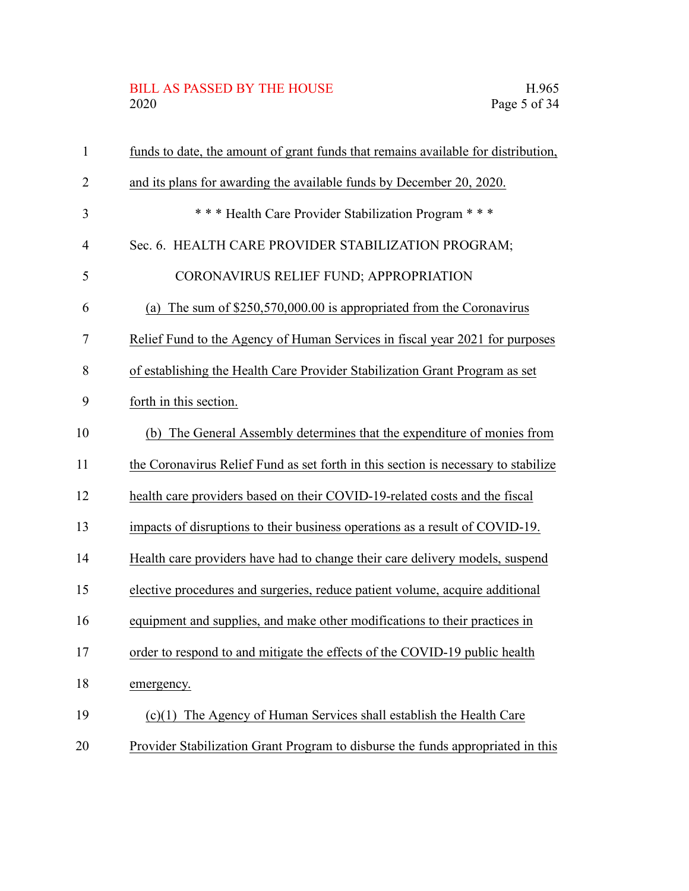# BILL AS PASSED BY THE HOUSE H.965<br>2020 Page 5 of 34

| $\mathbf{1}$ | funds to date, the amount of grant funds that remains available for distribution,  |
|--------------|------------------------------------------------------------------------------------|
| 2            | and its plans for awarding the available funds by December 20, 2020.               |
| 3            | *** Health Care Provider Stabilization Program ***                                 |
| 4            | Sec. 6. HEALTH CARE PROVIDER STABILIZATION PROGRAM;                                |
| 5            | CORONAVIRUS RELIEF FUND; APPROPRIATION                                             |
| 6            | (a) The sum of $$250,570,000.00$ is appropriated from the Coronavirus              |
| 7            | Relief Fund to the Agency of Human Services in fiscal year 2021 for purposes       |
| 8            | of establishing the Health Care Provider Stabilization Grant Program as set        |
| 9            | forth in this section.                                                             |
| 10           | The General Assembly determines that the expenditure of monies from<br>(b)         |
| 11           | the Coronavirus Relief Fund as set forth in this section is necessary to stabilize |
| 12           | health care providers based on their COVID-19-related costs and the fiscal         |
| 13           | impacts of disruptions to their business operations as a result of COVID-19.       |
| 14           | Health care providers have had to change their care delivery models, suspend       |
| 15           | elective procedures and surgeries, reduce patient volume, acquire additional       |
| 16           | equipment and supplies, and make other modifications to their practices in         |
| 17           | order to respond to and mitigate the effects of the COVID-19 public health         |
| 18           | emergency.                                                                         |
| 19           | $(c)(1)$ The Agency of Human Services shall establish the Health Care              |
| 20           | Provider Stabilization Grant Program to disburse the funds appropriated in this    |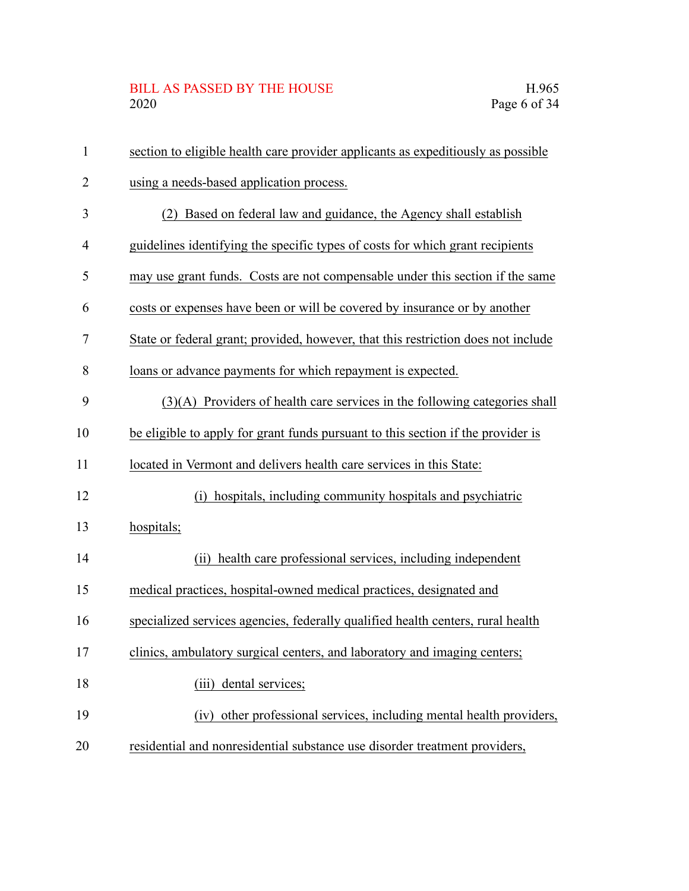## BILL AS PASSED BY THE HOUSE H.965<br>2020 Page 6 of 34

| $\mathbf{1}$   | section to eligible health care provider applicants as expeditiously as possible  |
|----------------|-----------------------------------------------------------------------------------|
| $\overline{2}$ | using a needs-based application process.                                          |
| 3              | Based on federal law and guidance, the Agency shall establish<br>(2)              |
| $\overline{4}$ | guidelines identifying the specific types of costs for which grant recipients     |
| 5              | may use grant funds. Costs are not compensable under this section if the same     |
| 6              | costs or expenses have been or will be covered by insurance or by another         |
| 7              | State or federal grant; provided, however, that this restriction does not include |
| 8              | loans or advance payments for which repayment is expected.                        |
| 9              | $(3)(A)$ Providers of health care services in the following categories shall      |
| 10             | be eligible to apply for grant funds pursuant to this section if the provider is  |
| 11             | located in Vermont and delivers health care services in this State:               |
| 12             | (i) hospitals, including community hospitals and psychiatric                      |
| 13             | hospitals;                                                                        |
| 14             | health care professional services, including independent<br>(ii)                  |
| 15             | medical practices, hospital-owned medical practices, designated and               |
| 16             | specialized services agencies, federally qualified health centers, rural health   |
| 17             | clinics, ambulatory surgical centers, and laboratory and imaging centers;         |
| 18             | dental services;<br>(iii)                                                         |
| 19             | (iv) other professional services, including mental health providers,              |
| 20             | residential and nonresidential substance use disorder treatment providers,        |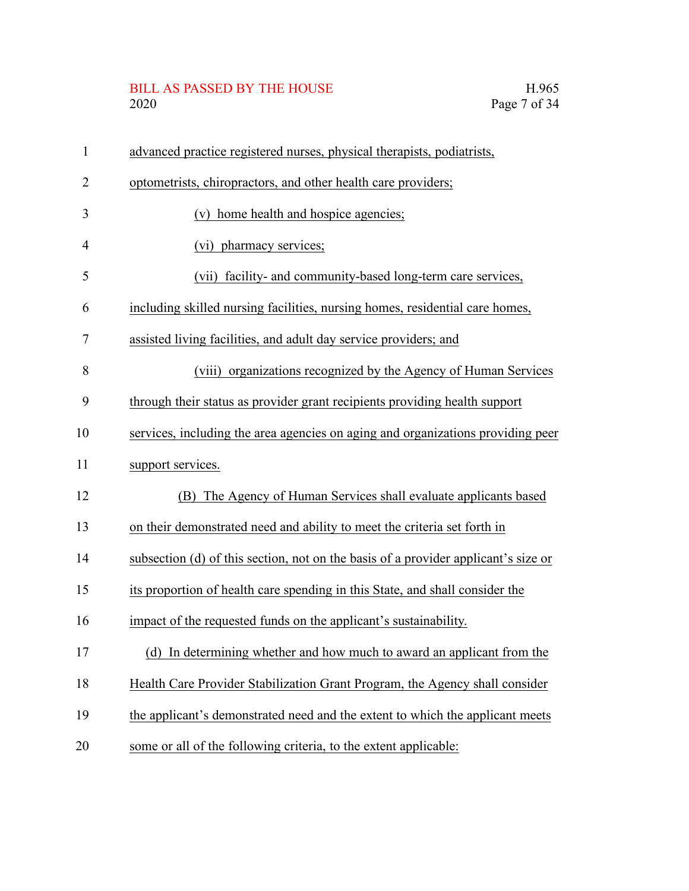# BILL AS PASSED BY THE HOUSE H.965<br>2020 Page 7 of 34

| $\mathbf{1}$   | advanced practice registered nurses, physical therapists, podiatrists,             |
|----------------|------------------------------------------------------------------------------------|
| 2              | optometrists, chiropractors, and other health care providers;                      |
| 3              | (v) home health and hospice agencies;                                              |
| $\overline{4}$ | (vi) pharmacy services;                                                            |
| 5              | (vii) facility- and community-based long-term care services,                       |
| 6              | including skilled nursing facilities, nursing homes, residential care homes,       |
| 7              | assisted living facilities, and adult day service providers; and                   |
| 8              | (viii) organizations recognized by the Agency of Human Services                    |
| 9              | through their status as provider grant recipients providing health support         |
| 10             | services, including the area agencies on aging and organizations providing peer    |
| 11             | support services.                                                                  |
| 12             | (B) The Agency of Human Services shall evaluate applicants based                   |
| 13             | on their demonstrated need and ability to meet the criteria set forth in           |
| 14             | subsection (d) of this section, not on the basis of a provider applicant's size or |
| 15             | its proportion of health care spending in this State, and shall consider the       |
| 16             | impact of the requested funds on the applicant's sustainability.                   |
| 17             | (d) In determining whether and how much to award an applicant from the             |
| 18             | Health Care Provider Stabilization Grant Program, the Agency shall consider        |
| 19             | the applicant's demonstrated need and the extent to which the applicant meets      |
| 20             | some or all of the following criteria, to the extent applicable:                   |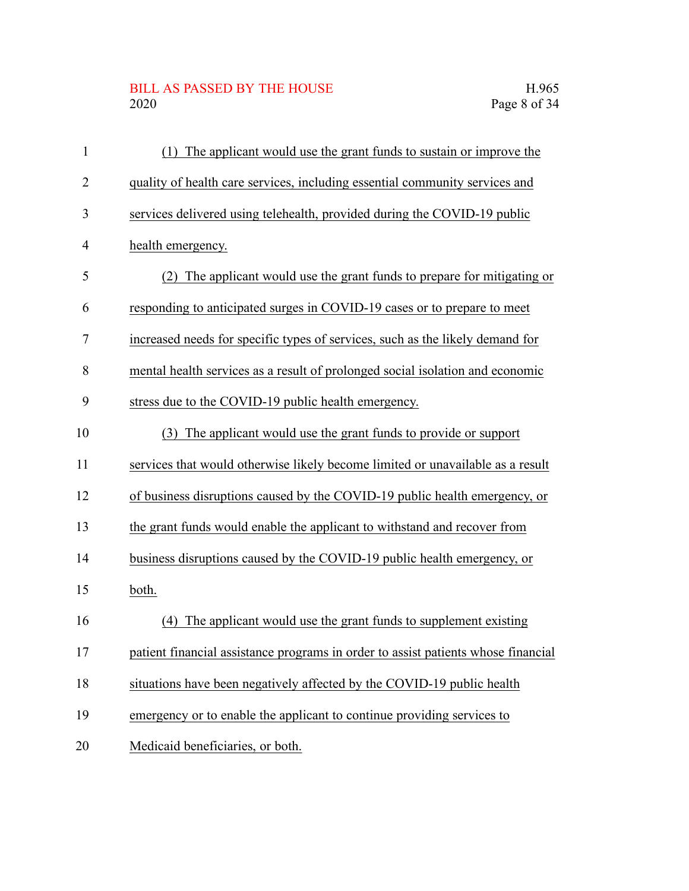# BILL AS PASSED BY THE HOUSE H.965<br>2020 Page 8 of 34

| $\mathbf{1}$   | The applicant would use the grant funds to sustain or improve the<br>(1)          |
|----------------|-----------------------------------------------------------------------------------|
| $\overline{2}$ | quality of health care services, including essential community services and       |
| 3              | services delivered using telehealth, provided during the COVID-19 public          |
| $\overline{4}$ | health emergency.                                                                 |
| 5              | (2) The applicant would use the grant funds to prepare for mitigating or          |
| 6              | responding to anticipated surges in COVID-19 cases or to prepare to meet          |
| 7              | increased needs for specific types of services, such as the likely demand for     |
| 8              | mental health services as a result of prolonged social isolation and economic     |
| 9              | stress due to the COVID-19 public health emergency.                               |
| 10             | The applicant would use the grant funds to provide or support<br>(3)              |
| 11             | services that would otherwise likely become limited or unavailable as a result    |
| 12             | of business disruptions caused by the COVID-19 public health emergency, or        |
| 13             | the grant funds would enable the applicant to withstand and recover from          |
| 14             | business disruptions caused by the COVID-19 public health emergency, or           |
| 15             | both.                                                                             |
| 16             | (4) The applicant would use the grant funds to supplement existing                |
| 17             | patient financial assistance programs in order to assist patients whose financial |
| 18             | situations have been negatively affected by the COVID-19 public health            |
| 19             | emergency or to enable the applicant to continue providing services to            |
| 20             | Medicaid beneficiaries, or both.                                                  |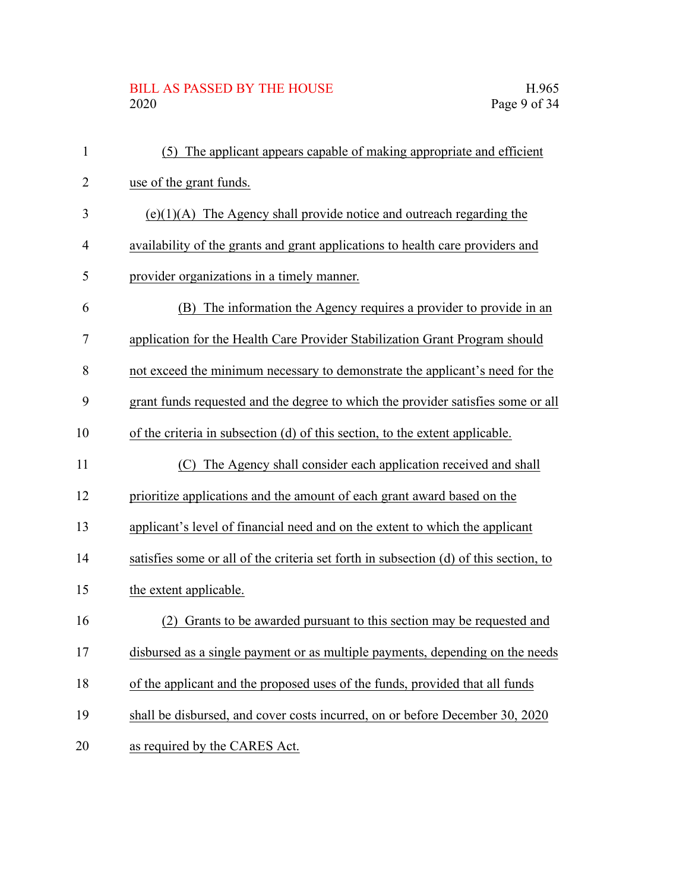## BILL AS PASSED BY THE HOUSE H.965<br>2020 Page 9 of 34

| $\mathbf{1}$ | The applicant appears capable of making appropriate and efficient<br>(5)              |
|--------------|---------------------------------------------------------------------------------------|
| 2            | use of the grant funds.                                                               |
| 3            | $(e)(1)(A)$ The Agency shall provide notice and outreach regarding the                |
| 4            | availability of the grants and grant applications to health care providers and        |
| 5            | provider organizations in a timely manner.                                            |
| 6            | The information the Agency requires a provider to provide in an<br>(B)                |
| 7            | application for the Health Care Provider Stabilization Grant Program should           |
| 8            | not exceed the minimum necessary to demonstrate the applicant's need for the          |
| 9            | grant funds requested and the degree to which the provider satisfies some or all      |
| 10           | of the criteria in subsection (d) of this section, to the extent applicable.          |
| 11           | (C) The Agency shall consider each application received and shall                     |
| 12           | prioritize applications and the amount of each grant award based on the               |
| 13           | applicant's level of financial need and on the extent to which the applicant          |
| 14           | satisfies some or all of the criteria set forth in subsection (d) of this section, to |
| 15           | the extent applicable.                                                                |
| 16           | Grants to be awarded pursuant to this section may be requested and<br>(2)             |
| 17           | disbursed as a single payment or as multiple payments, depending on the needs         |
| 18           | of the applicant and the proposed uses of the funds, provided that all funds          |
| 19           | shall be disbursed, and cover costs incurred, on or before December 30, 2020          |
| 20           | as required by the CARES Act.                                                         |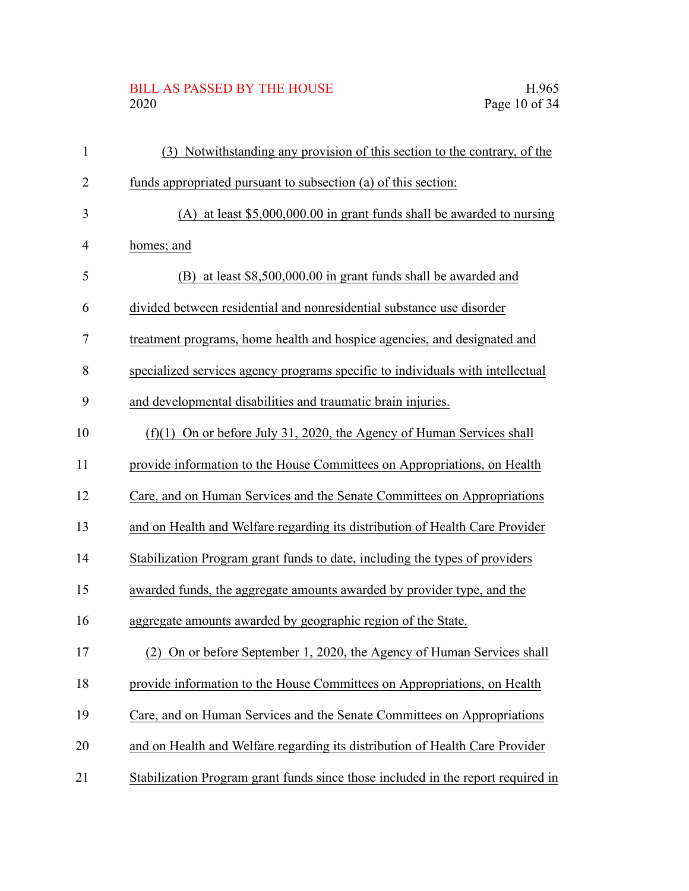## BILL AS PASSED BY THE HOUSE H.965<br>2020 Page 10 of 34

| $\mathbf{1}$   | Notwithstanding any provision of this section to the contrary, of the<br>(3)     |
|----------------|----------------------------------------------------------------------------------|
| $\overline{2}$ | funds appropriated pursuant to subsection (a) of this section:                   |
| 3              | (A) at least $$5,000,000.00$ in grant funds shall be awarded to nursing          |
| $\overline{4}$ | homes; and                                                                       |
| 5              | (B) at least \$8,500,000.00 in grant funds shall be awarded and                  |
| 6              | divided between residential and nonresidential substance use disorder            |
| 7              | treatment programs, home health and hospice agencies, and designated and         |
| 8              | specialized services agency programs specific to individuals with intellectual   |
| 9              | and developmental disabilities and traumatic brain injuries.                     |
| 10             | $(f)(1)$ On or before July 31, 2020, the Agency of Human Services shall          |
| 11             | provide information to the House Committees on Appropriations, on Health         |
| 12             | Care, and on Human Services and the Senate Committees on Appropriations          |
| 13             | and on Health and Welfare regarding its distribution of Health Care Provider     |
| 14             | Stabilization Program grant funds to date, including the types of providers      |
| 15             | awarded funds, the aggregate amounts awarded by provider type, and the           |
| 16             | aggregate amounts awarded by geographic region of the State.                     |
| 17             | (2) On or before September 1, 2020, the Agency of Human Services shall           |
| 18             | provide information to the House Committees on Appropriations, on Health         |
| 19             | Care, and on Human Services and the Senate Committees on Appropriations          |
| 20             | and on Health and Welfare regarding its distribution of Health Care Provider     |
| 21             | Stabilization Program grant funds since those included in the report required in |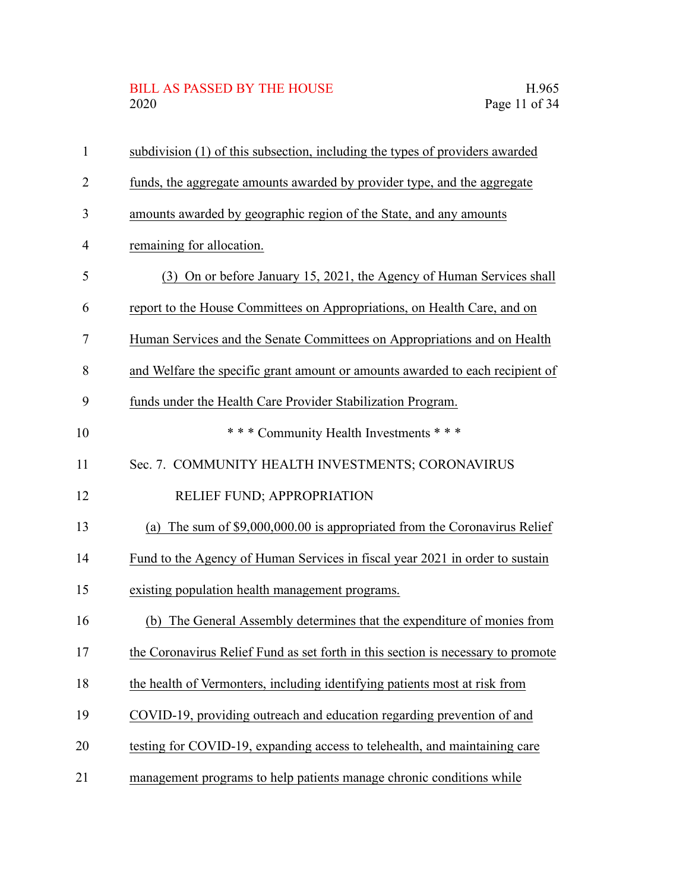# BILL AS PASSED BY THE HOUSE H.965<br>2020 Page 11 of 34

| $\mathbf{1}$   | subdivision (1) of this subsection, including the types of providers awarded     |
|----------------|----------------------------------------------------------------------------------|
| $\overline{2}$ | funds, the aggregate amounts awarded by provider type, and the aggregate         |
| 3              | amounts awarded by geographic region of the State, and any amounts               |
| $\overline{4}$ | remaining for allocation.                                                        |
| 5              | (3) On or before January 15, 2021, the Agency of Human Services shall            |
| 6              | report to the House Committees on Appropriations, on Health Care, and on         |
| $\overline{7}$ | Human Services and the Senate Committees on Appropriations and on Health         |
| 8              | and Welfare the specific grant amount or amounts awarded to each recipient of    |
| 9              | funds under the Health Care Provider Stabilization Program.                      |
| 10             | *** Community Health Investments ***                                             |
| 11             | Sec. 7. COMMUNITY HEALTH INVESTMENTS; CORONAVIRUS                                |
| 12             | RELIEF FUND; APPROPRIATION                                                       |
| 13             | (a) The sum of $$9,000,000.00$ is appropriated from the Coronavirus Relief       |
| 14             | Fund to the Agency of Human Services in fiscal year 2021 in order to sustain     |
| 15             | existing population health management programs.                                  |
| 16             | The General Assembly determines that the expenditure of monies from<br>(b)       |
| 17             | the Coronavirus Relief Fund as set forth in this section is necessary to promote |
| 18             | the health of Vermonters, including identifying patients most at risk from       |
| 19             | COVID-19, providing outreach and education regarding prevention of and           |
| 20             | testing for COVID-19, expanding access to telehealth, and maintaining care       |
| 21             | management programs to help patients manage chronic conditions while             |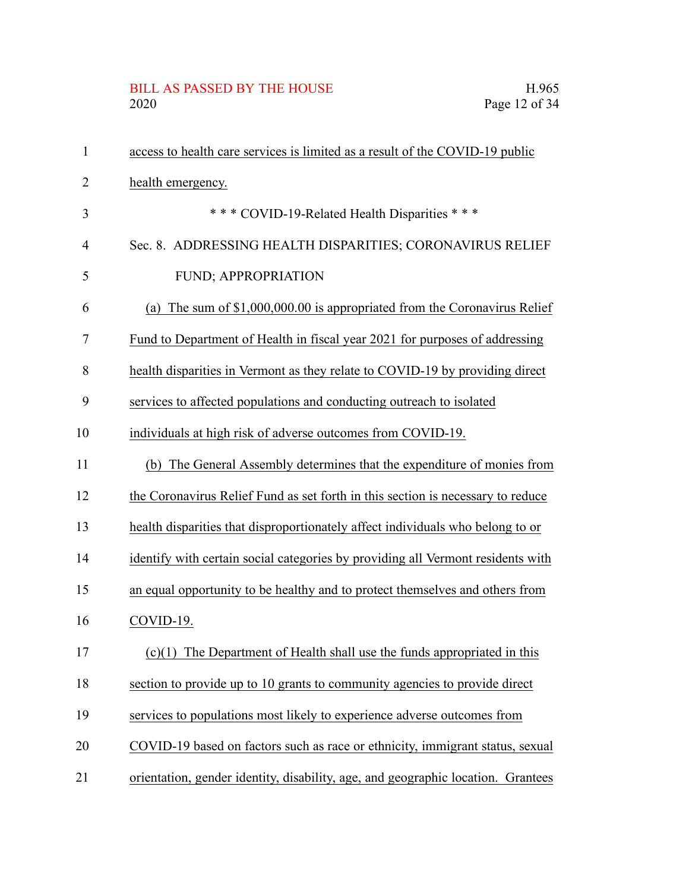# BILL AS PASSED BY THE HOUSE H.965<br>2020 Page 12 of 34

| $\mathbf{1}$   | access to health care services is limited as a result of the COVID-19 public     |
|----------------|----------------------------------------------------------------------------------|
| 2              | health emergency.                                                                |
| 3              | *** COVID-19-Related Health Disparities ***                                      |
| $\overline{4}$ | Sec. 8. ADDRESSING HEALTH DISPARITIES; CORONAVIRUS RELIEF                        |
| 5              | FUND; APPROPRIATION                                                              |
| 6              | The sum of \$1,000,000.00 is appropriated from the Coronavirus Relief<br>(a)     |
| 7              | Fund to Department of Health in fiscal year 2021 for purposes of addressing      |
| 8              | health disparities in Vermont as they relate to COVID-19 by providing direct     |
| 9              | services to affected populations and conducting outreach to isolated             |
| 10             | individuals at high risk of adverse outcomes from COVID-19.                      |
| 11             | The General Assembly determines that the expenditure of monies from<br>(b)       |
| 12             | the Coronavirus Relief Fund as set forth in this section is necessary to reduce  |
| 13             | health disparities that disproportionately affect individuals who belong to or   |
| 14             | identify with certain social categories by providing all Vermont residents with  |
| 15             | an equal opportunity to be healthy and to protect themselves and others from     |
| 16             | COVID-19.                                                                        |
| 17             | $(c)(1)$ The Department of Health shall use the funds appropriated in this       |
| 18             | section to provide up to 10 grants to community agencies to provide direct       |
| 19             | services to populations most likely to experience adverse outcomes from          |
| 20             | COVID-19 based on factors such as race or ethnicity, immigrant status, sexual    |
| 21             | orientation, gender identity, disability, age, and geographic location. Grantees |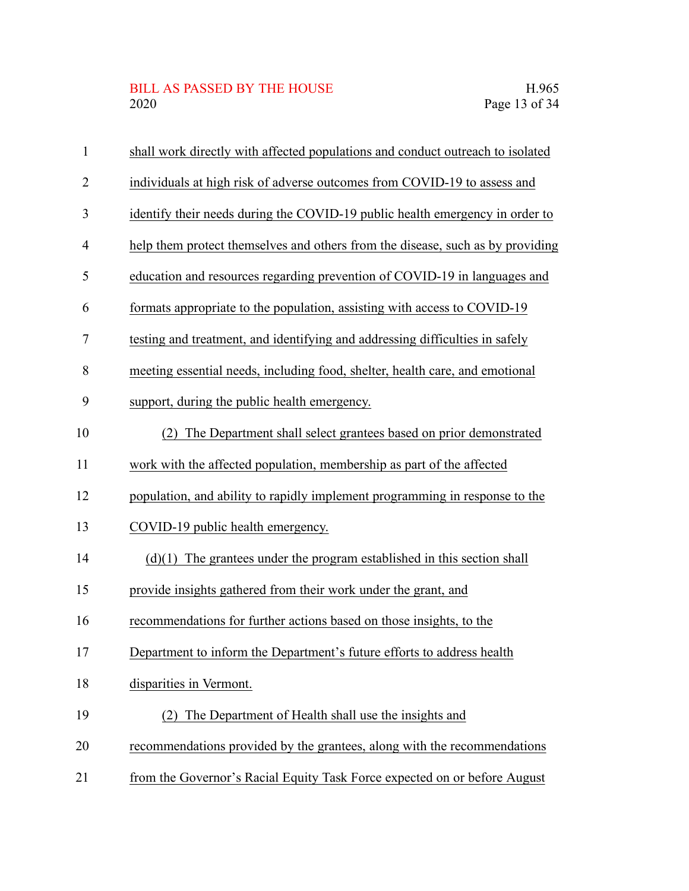#### BILL AS PASSED BY THE HOUSE H.965 2020 Page 13 of 34

| 1  | shall work directly with affected populations and conduct outreach to isolated |
|----|--------------------------------------------------------------------------------|
| 2  | individuals at high risk of adverse outcomes from COVID-19 to assess and       |
| 3  | identify their needs during the COVID-19 public health emergency in order to   |
| 4  | help them protect themselves and others from the disease, such as by providing |
| 5  | education and resources regarding prevention of COVID-19 in languages and      |
| 6  | formats appropriate to the population, assisting with access to COVID-19       |
| 7  | testing and treatment, and identifying and addressing difficulties in safely   |
| 8  | meeting essential needs, including food, shelter, health care, and emotional   |
| 9  | support, during the public health emergency.                                   |
| 10 | (2) The Department shall select grantees based on prior demonstrated           |
| 11 | work with the affected population, membership as part of the affected          |
| 12 | population, and ability to rapidly implement programming in response to the    |
| 13 | COVID-19 public health emergency.                                              |
| 14 | $(d)(1)$ The grantees under the program established in this section shall      |
| 15 | provide insights gathered from their work under the grant, and                 |
| 16 | recommendations for further actions based on those insights, to the            |
| 17 | Department to inform the Department's future efforts to address health         |
| 18 | disparities in Vermont.                                                        |
| 19 | The Department of Health shall use the insights and<br>(2)                     |
| 20 | recommendations provided by the grantees, along with the recommendations       |
| 21 | from the Governor's Racial Equity Task Force expected on or before August      |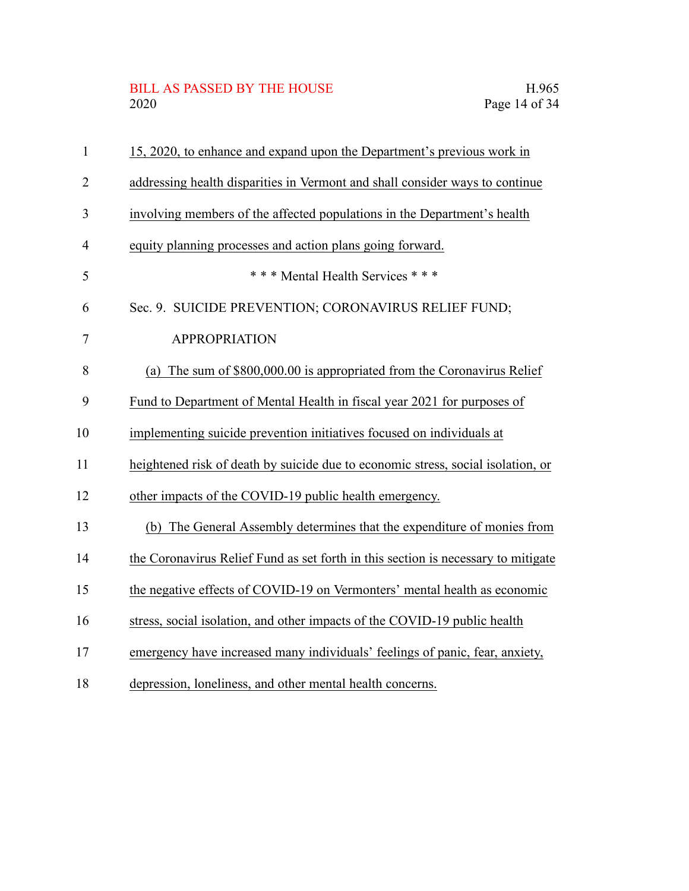# BILL AS PASSED BY THE HOUSE H.965<br>2020 Page 14 of 34

| $\mathbf{1}$   | 15, 2020, to enhance and expand upon the Department's previous work in            |
|----------------|-----------------------------------------------------------------------------------|
| $\overline{2}$ | addressing health disparities in Vermont and shall consider ways to continue      |
| 3              | involving members of the affected populations in the Department's health          |
| 4              | equity planning processes and action plans going forward.                         |
| 5              | *** Mental Health Services ***                                                    |
| 6              | Sec. 9. SUICIDE PREVENTION; CORONAVIRUS RELIEF FUND;                              |
| $\tau$         | <b>APPROPRIATION</b>                                                              |
| 8              | The sum of \$800,000.00 is appropriated from the Coronavirus Relief<br>(a)        |
| 9              | Fund to Department of Mental Health in fiscal year 2021 for purposes of           |
| 10             | implementing suicide prevention initiatives focused on individuals at             |
| 11             | heightened risk of death by suicide due to economic stress, social isolation, or  |
| 12             | other impacts of the COVID-19 public health emergency.                            |
| 13             | The General Assembly determines that the expenditure of monies from<br>(b)        |
| 14             | the Coronavirus Relief Fund as set forth in this section is necessary to mitigate |
| 15             | the negative effects of COVID-19 on Vermonters' mental health as economic         |
| 16             | stress, social isolation, and other impacts of the COVID-19 public health         |
| 17             | emergency have increased many individuals' feelings of panic, fear, anxiety,      |
| 18             | depression, loneliness, and other mental health concerns.                         |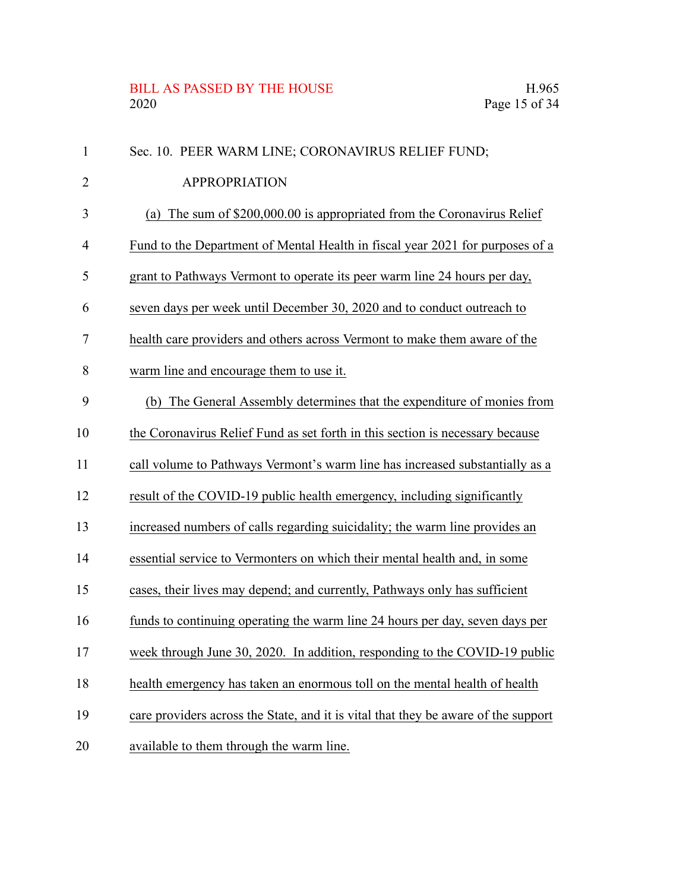## BILL AS PASSED BY THE HOUSE H.965<br>2020 Page 15 of 34

| $\mathbf{1}$   | Sec. 10. PEER WARM LINE; CORONAVIRUS RELIEF FUND;                                  |
|----------------|------------------------------------------------------------------------------------|
| 2              | <b>APPROPRIATION</b>                                                               |
| 3              | (a) The sum of $$200,000.00$ is appropriated from the Coronavirus Relief           |
| $\overline{4}$ | Fund to the Department of Mental Health in fiscal year 2021 for purposes of a      |
| 5              | grant to Pathways Vermont to operate its peer warm line 24 hours per day,          |
| 6              | seven days per week until December 30, 2020 and to conduct outreach to             |
| 7              | health care providers and others across Vermont to make them aware of the          |
| 8              | warm line and encourage them to use it.                                            |
| 9              | (b) The General Assembly determines that the expenditure of monies from            |
| 10             | the Coronavirus Relief Fund as set forth in this section is necessary because      |
| 11             | call volume to Pathways Vermont's warm line has increased substantially as a       |
| 12             | result of the COVID-19 public health emergency, including significantly            |
| 13             | increased numbers of calls regarding suicidality; the warm line provides an        |
| 14             | essential service to Vermonters on which their mental health and, in some          |
| 15             | cases, their lives may depend; and currently, Pathways only has sufficient         |
| 16             | funds to continuing operating the warm line 24 hours per day, seven days per       |
| 17             | week through June 30, 2020. In addition, responding to the COVID-19 public         |
| 18             | health emergency has taken an enormous toll on the mental health of health         |
| 19             | care providers across the State, and it is vital that they be aware of the support |
| 20             | available to them through the warm line.                                           |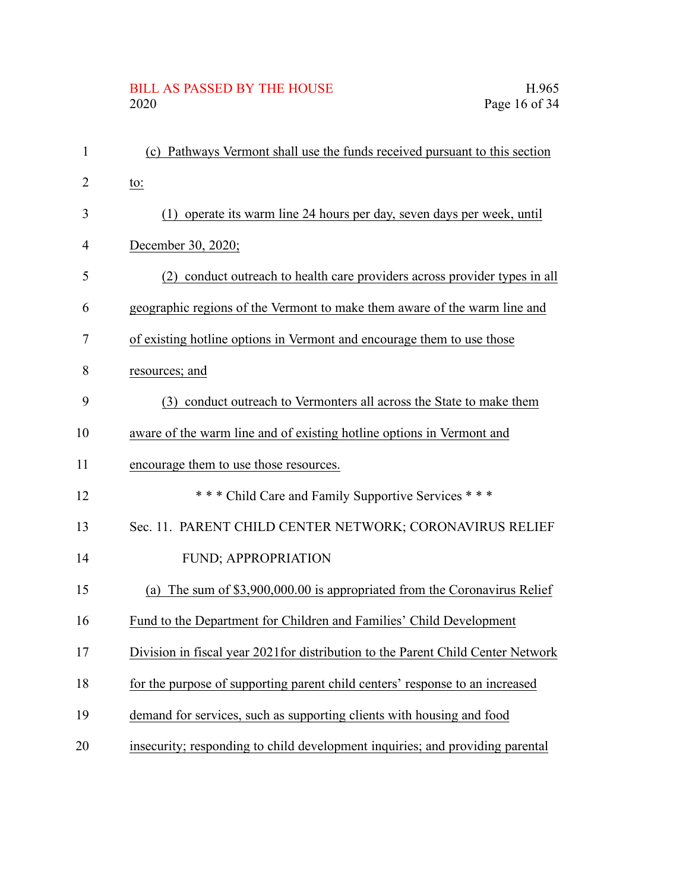# BILL AS PASSED BY THE HOUSE H.965<br>2020 Page 16 of 34

| $\mathbf{1}$   | (c) Pathways Vermont shall use the funds received pursuant to this section       |
|----------------|----------------------------------------------------------------------------------|
| $\overline{2}$ | to:                                                                              |
| 3              | (1) operate its warm line 24 hours per day, seven days per week, until           |
| $\overline{4}$ | December 30, 2020;                                                               |
| 5              | (2) conduct outreach to health care providers across provider types in all       |
| 6              | geographic regions of the Vermont to make them aware of the warm line and        |
| 7              | of existing hotline options in Vermont and encourage them to use those           |
| 8              | resources; and                                                                   |
| 9              | (3) conduct outreach to Vermonters all across the State to make them             |
| 10             | aware of the warm line and of existing hotline options in Vermont and            |
| 11             | encourage them to use those resources.                                           |
| 12             | *** Child Care and Family Supportive Services ***                                |
| 13             | Sec. 11. PARENT CHILD CENTER NETWORK; CORONAVIRUS RELIEF                         |
| 14             | FUND; APPROPRIATION                                                              |
| 15             | The sum of \$3,900,000.00 is appropriated from the Coronavirus Relief<br>(a)     |
| 16             | Fund to the Department for Children and Families' Child Development              |
| 17             | Division in fiscal year 2021 for distribution to the Parent Child Center Network |
| 18             | for the purpose of supporting parent child centers' response to an increased     |
| 19             | demand for services, such as supporting clients with housing and food            |
| 20             | insecurity; responding to child development inquiries; and providing parental    |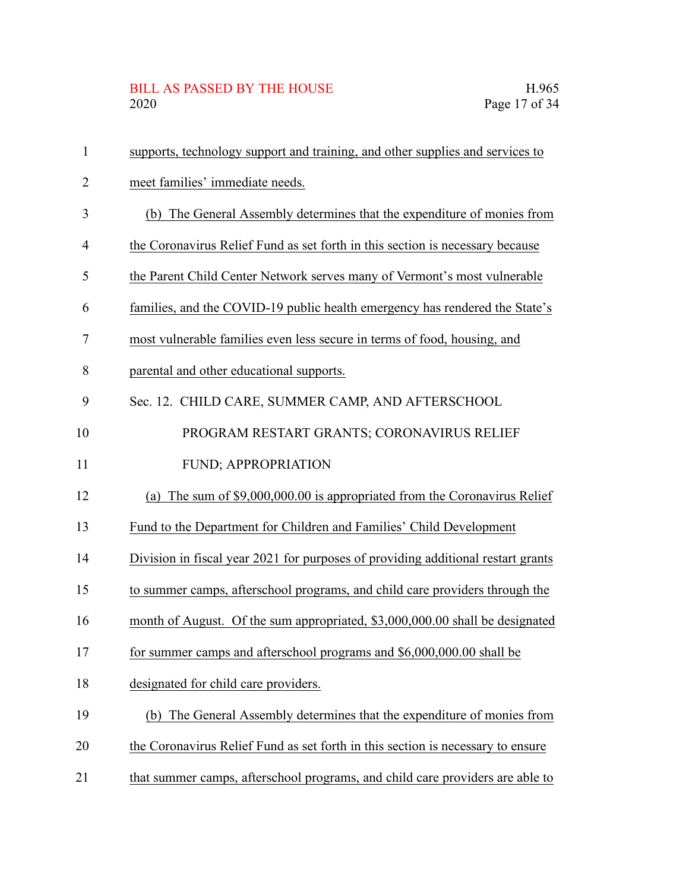## BILL AS PASSED BY THE HOUSE H.965<br>2020 Page 17 of 34

| $\mathbf{1}$   | supports, technology support and training, and other supplies and services to    |
|----------------|----------------------------------------------------------------------------------|
| $\overline{2}$ | meet families' immediate needs.                                                  |
| 3              | The General Assembly determines that the expenditure of monies from<br>(b)       |
| $\overline{4}$ | the Coronavirus Relief Fund as set forth in this section is necessary because    |
| 5              | the Parent Child Center Network serves many of Vermont's most vulnerable         |
| 6              | families, and the COVID-19 public health emergency has rendered the State's      |
| 7              | most vulnerable families even less secure in terms of food, housing, and         |
| 8              | parental and other educational supports.                                         |
| 9              | Sec. 12. CHILD CARE, SUMMER CAMP, AND AFTERSCHOOL                                |
| 10             | PROGRAM RESTART GRANTS; CORONAVIRUS RELIEF                                       |
| 11             | <b>FUND; APPROPRIATION</b>                                                       |
| 12             | (a) The sum of $$9,000,000.00$ is appropriated from the Coronavirus Relief       |
| 13             | Fund to the Department for Children and Families' Child Development              |
| 14             | Division in fiscal year 2021 for purposes of providing additional restart grants |
| 15             | to summer camps, afterschool programs, and child care providers through the      |
| 16             | month of August. Of the sum appropriated, \$3,000,000.00 shall be designated     |
| 17             | for summer camps and afterschool programs and \$6,000,000.00 shall be            |
| 18             | designated for child care providers.                                             |
| 19             | (b) The General Assembly determines that the expenditure of monies from          |
| 20             | the Coronavirus Relief Fund as set forth in this section is necessary to ensure  |
| 21             | that summer camps, afterschool programs, and child care providers are able to    |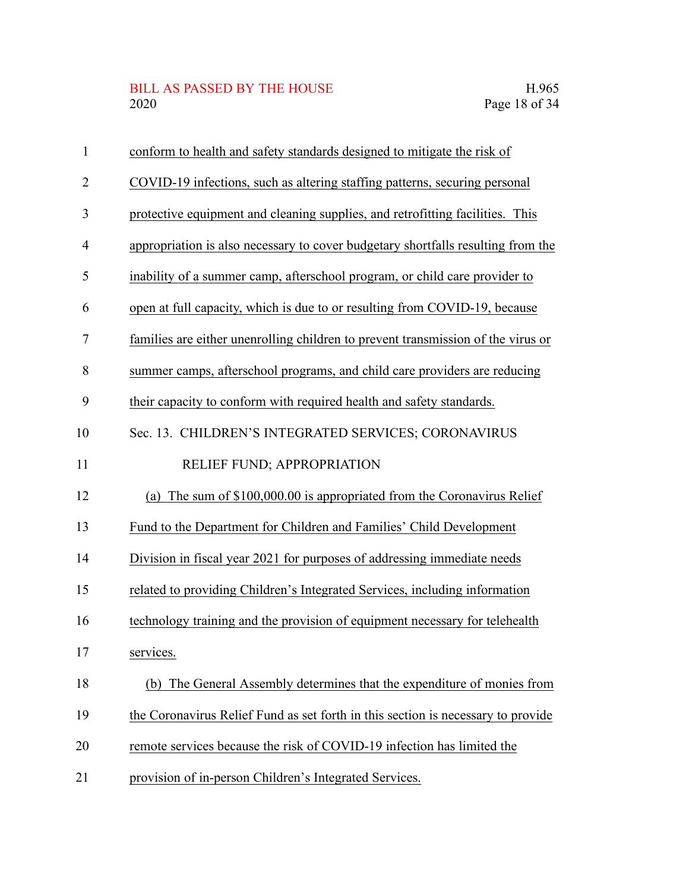# BILL AS PASSED BY THE HOUSE H.965<br>2020 Page 18 of 34

| $\mathbf{1}$ | conform to health and safety standards designed to mitigate the risk of          |
|--------------|----------------------------------------------------------------------------------|
| 2            | COVID-19 infections, such as altering staffing patterns, securing personal       |
| 3            | protective equipment and cleaning supplies, and retrofitting facilities. This    |
| 4            | appropriation is also necessary to cover budgetary shortfalls resulting from the |
| 5            | inability of a summer camp, afterschool program, or child care provider to       |
| 6            | open at full capacity, which is due to or resulting from COVID-19, because       |
| 7            | families are either unenrolling children to prevent transmission of the virus or |
| 8            | summer camps, afterschool programs, and child care providers are reducing        |
| 9            | their capacity to conform with required health and safety standards.             |
| 10           | Sec. 13. CHILDREN'S INTEGRATED SERVICES; CORONAVIRUS                             |
| 11           | RELIEF FUND; APPROPRIATION                                                       |
| 12           | The sum of \$100,000.00 is appropriated from the Coronavirus Relief<br>(a)       |
| 13           | Fund to the Department for Children and Families' Child Development              |
| 14           | Division in fiscal year 2021 for purposes of addressing immediate needs          |
| 15           | related to providing Children's Integrated Services, including information       |
| 16           | technology training and the provision of equipment necessary for telehealth      |
| 17           | services.                                                                        |
| 18           | (b) The General Assembly determines that the expenditure of monies from          |
| 19           | the Coronavirus Relief Fund as set forth in this section is necessary to provide |
| 20           | remote services because the risk of COVID-19 infection has limited the           |
| 21           | provision of in-person Children's Integrated Services.                           |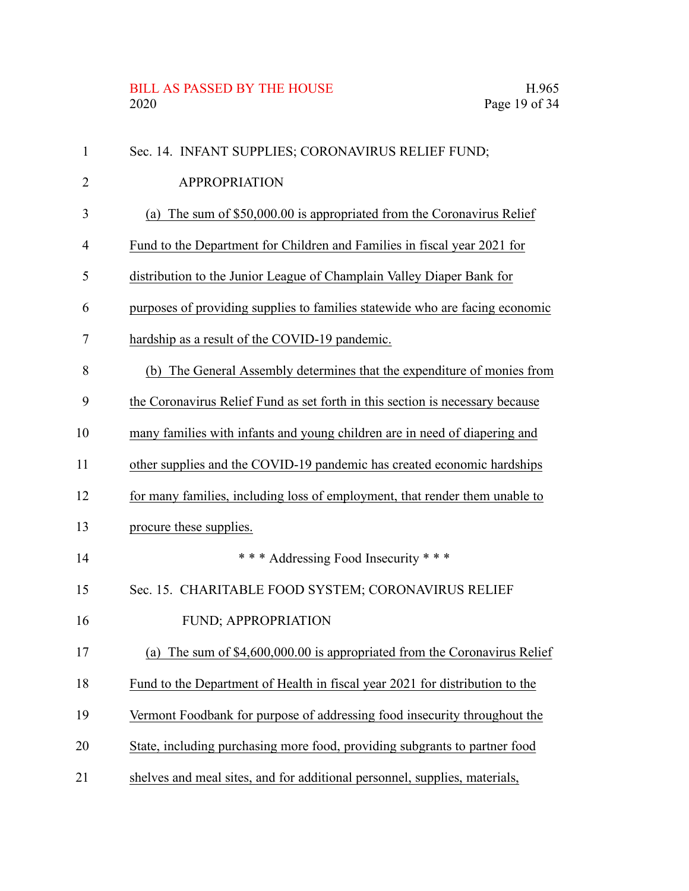## BILL AS PASSED BY THE HOUSE H.965<br>2020 Page 19 of 34

| $\mathbf{1}$   | Sec. 14. INFANT SUPPLIES; CORONAVIRUS RELIEF FUND;                            |
|----------------|-------------------------------------------------------------------------------|
| 2              | <b>APPROPRIATION</b>                                                          |
| 3              | (a) The sum of \$50,000.00 is appropriated from the Coronavirus Relief        |
| $\overline{4}$ | Fund to the Department for Children and Families in fiscal year 2021 for      |
| 5              | distribution to the Junior League of Champlain Valley Diaper Bank for         |
| 6              | purposes of providing supplies to families statewide who are facing economic  |
| 7              | hardship as a result of the COVID-19 pandemic.                                |
| 8              | The General Assembly determines that the expenditure of monies from<br>(b)    |
| 9              | the Coronavirus Relief Fund as set forth in this section is necessary because |
| 10             | many families with infants and young children are in need of diapering and    |
| 11             | other supplies and the COVID-19 pandemic has created economic hardships       |
| 12             | for many families, including loss of employment, that render them unable to   |
| 13             | procure these supplies.                                                       |
| 14             | *** Addressing Food Insecurity ***                                            |
| 15             | Sec. 15. CHARITABLE FOOD SYSTEM; CORONAVIRUS RELIEF                           |
| 16             | <b>FUND; APPROPRIATION</b>                                                    |
| 17             | (a) The sum of $$4,600,000.00$ is appropriated from the Coronavirus Relief    |
| 18             | Fund to the Department of Health in fiscal year 2021 for distribution to the  |
| 19             | Vermont Foodbank for purpose of addressing food insecurity throughout the     |
| 20             | State, including purchasing more food, providing subgrants to partner food    |
| 21             | shelves and meal sites, and for additional personnel, supplies, materials,    |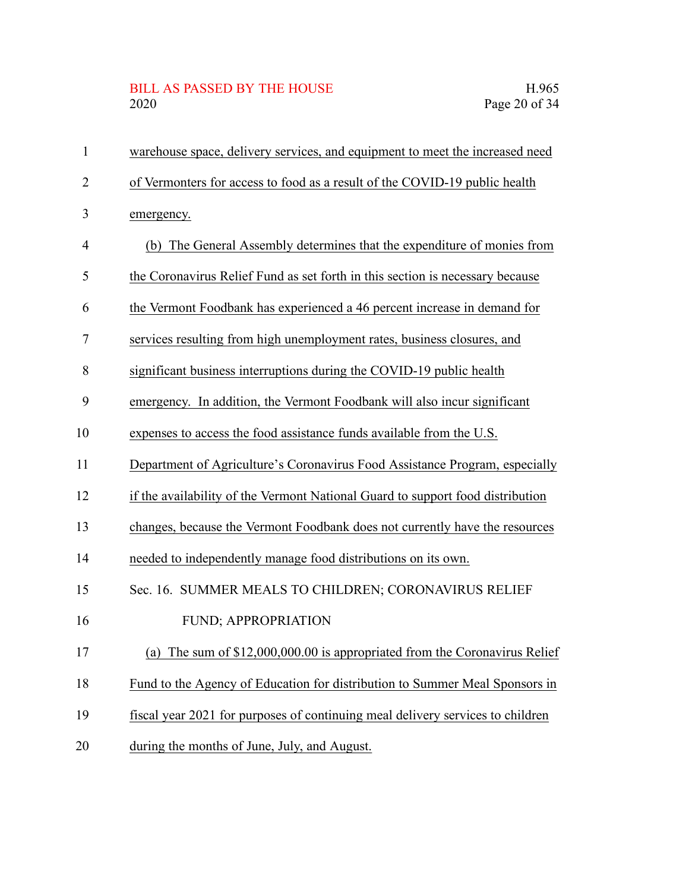## BILL AS PASSED BY THE HOUSE H.965<br>2020 Page 20 of 34

| $\mathbf{1}$   | warehouse space, delivery services, and equipment to meet the increased need   |
|----------------|--------------------------------------------------------------------------------|
| $\overline{2}$ | of Vermonters for access to food as a result of the COVID-19 public health     |
| 3              | emergency.                                                                     |
| 4              | (b) The General Assembly determines that the expenditure of monies from        |
| 5              | the Coronavirus Relief Fund as set forth in this section is necessary because  |
| 6              | the Vermont Foodbank has experienced a 46 percent increase in demand for       |
| 7              | services resulting from high unemployment rates, business closures, and        |
| 8              | significant business interruptions during the COVID-19 public health           |
| 9              | emergency. In addition, the Vermont Foodbank will also incur significant       |
| 10             | expenses to access the food assistance funds available from the U.S.           |
| 11             | Department of Agriculture's Coronavirus Food Assistance Program, especially    |
| 12             | if the availability of the Vermont National Guard to support food distribution |
| 13             | changes, because the Vermont Foodbank does not currently have the resources    |
| 14             | needed to independently manage food distributions on its own.                  |
| 15             | Sec. 16. SUMMER MEALS TO CHILDREN; CORONAVIRUS RELIEF                          |
| 16             | FUND; APPROPRIATION                                                            |
| 17             | The sum of \$12,000,000.00 is appropriated from the Coronavirus Relief<br>(a)  |
| 18             | Fund to the Agency of Education for distribution to Summer Meal Sponsors in    |
| 19             | fiscal year 2021 for purposes of continuing meal delivery services to children |
| 20             | during the months of June, July, and August.                                   |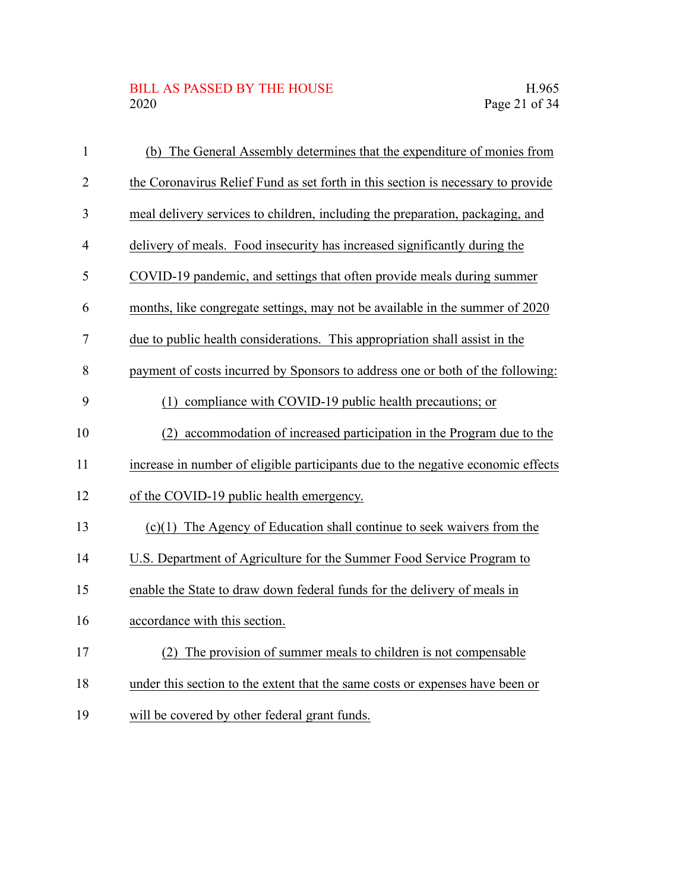# BILL AS PASSED BY THE HOUSE H.965<br>2020 Page 21 of 34

| $\mathbf{1}$   | (b) The General Assembly determines that the expenditure of monies from          |
|----------------|----------------------------------------------------------------------------------|
| $\overline{2}$ | the Coronavirus Relief Fund as set forth in this section is necessary to provide |
| 3              | meal delivery services to children, including the preparation, packaging, and    |
| $\overline{4}$ | delivery of meals. Food insecurity has increased significantly during the        |
| 5              | COVID-19 pandemic, and settings that often provide meals during summer           |
| 6              | months, like congregate settings, may not be available in the summer of 2020     |
| 7              | due to public health considerations. This appropriation shall assist in the      |
| 8              | payment of costs incurred by Sponsors to address one or both of the following:   |
| 9              | (1) compliance with COVID-19 public health precautions; or                       |
| 10             | accommodation of increased participation in the Program due to the<br>(2)        |
| 11             | increase in number of eligible participants due to the negative economic effects |
| 12             | of the COVID-19 public health emergency.                                         |
| 13             | $(c)(1)$ The Agency of Education shall continue to seek waivers from the         |
| 14             | U.S. Department of Agriculture for the Summer Food Service Program to            |
| 15             | enable the State to draw down federal funds for the delivery of meals in         |
| 16             | accordance with this section.                                                    |
| 17             | The provision of summer meals to children is not compensable<br>(2)              |
| 18             | under this section to the extent that the same costs or expenses have been or    |
| 19             | will be covered by other federal grant funds.                                    |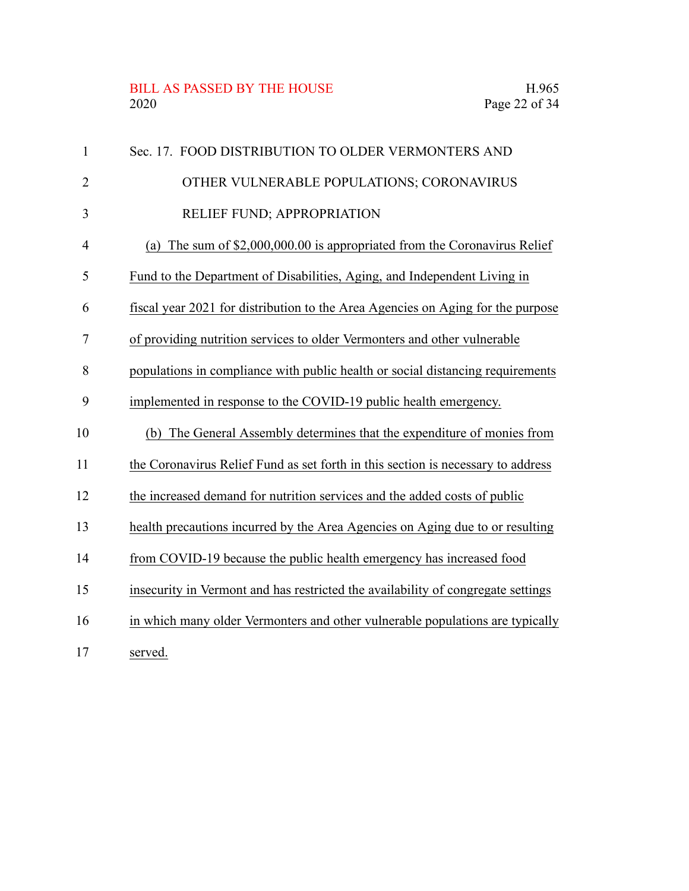#### BILL AS PASSED BY THE HOUSE H.965<br>2020 Page 22 of 34

| $\mathbf{1}$   | Sec. 17. FOOD DISTRIBUTION TO OLDER VERMONTERS AND                               |
|----------------|----------------------------------------------------------------------------------|
| $\overline{2}$ | OTHER VULNERABLE POPULATIONS; CORONAVIRUS                                        |
| 3              | RELIEF FUND; APPROPRIATION                                                       |
| $\overline{4}$ | The sum of \$2,000,000.00 is appropriated from the Coronavirus Relief<br>(a)     |
| 5              | Fund to the Department of Disabilities, Aging, and Independent Living in         |
| 6              | fiscal year 2021 for distribution to the Area Agencies on Aging for the purpose  |
| 7              | of providing nutrition services to older Vermonters and other vulnerable         |
| 8              | populations in compliance with public health or social distancing requirements   |
| 9              | implemented in response to the COVID-19 public health emergency.                 |
| 10             | (b) The General Assembly determines that the expenditure of monies from          |
| 11             | the Coronavirus Relief Fund as set forth in this section is necessary to address |
| 12             | the increased demand for nutrition services and the added costs of public        |
| 13             | health precautions incurred by the Area Agencies on Aging due to or resulting    |
| 14             | from COVID-19 because the public health emergency has increased food             |
| 15             | insecurity in Vermont and has restricted the availability of congregate settings |
| 16             | in which many older Vermonters and other vulnerable populations are typically    |
| 17             | served.                                                                          |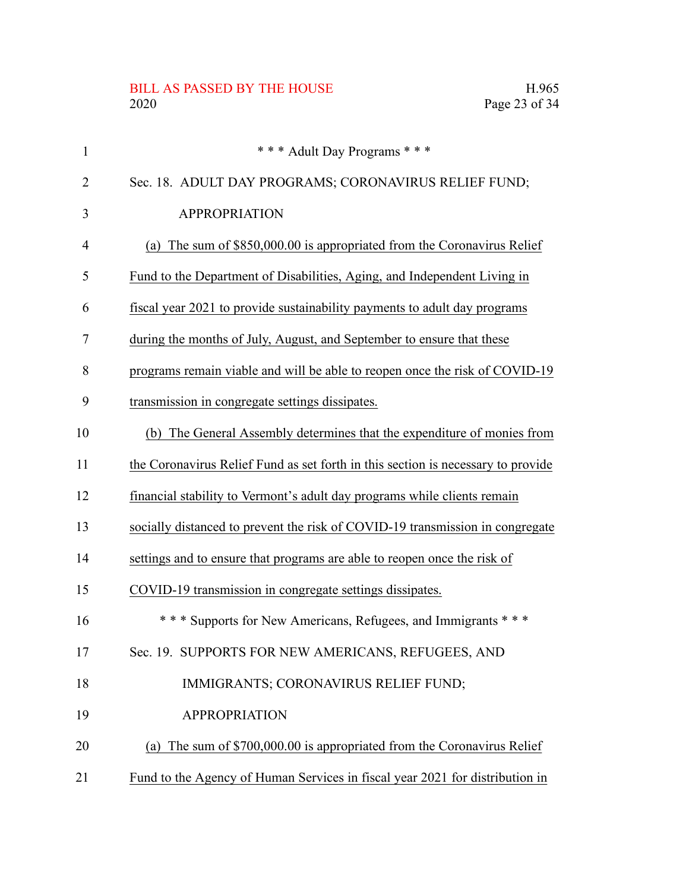# BILL AS PASSED BY THE HOUSE H.965<br>2020 Page 23 of 34

| 1  | *** Adult Day Programs ***                                                       |
|----|----------------------------------------------------------------------------------|
| 2  | Sec. 18. ADULT DAY PROGRAMS; CORONAVIRUS RELIEF FUND;                            |
| 3  | <b>APPROPRIATION</b>                                                             |
| 4  | (a) The sum of $$850,000.00$ is appropriated from the Coronavirus Relief         |
| 5  | Fund to the Department of Disabilities, Aging, and Independent Living in         |
| 6  | fiscal year 2021 to provide sustainability payments to adult day programs        |
| 7  | during the months of July, August, and September to ensure that these            |
| 8  | programs remain viable and will be able to reopen once the risk of COVID-19      |
| 9  | transmission in congregate settings dissipates.                                  |
| 10 | (b) The General Assembly determines that the expenditure of monies from          |
| 11 | the Coronavirus Relief Fund as set forth in this section is necessary to provide |
| 12 | financial stability to Vermont's adult day programs while clients remain         |
| 13 | socially distanced to prevent the risk of COVID-19 transmission in congregate    |
| 14 | settings and to ensure that programs are able to reopen once the risk of         |
| 15 | COVID-19 transmission in congregate settings dissipates.                         |
| 16 | *** Supports for New Americans, Refugees, and Immigrants ***                     |
| 17 | Sec. 19. SUPPORTS FOR NEW AMERICANS, REFUGEES, AND                               |
| 18 | IMMIGRANTS; CORONAVIRUS RELIEF FUND;                                             |
| 19 | <b>APPROPRIATION</b>                                                             |
| 20 | (a) The sum of \$700,000.00 is appropriated from the Coronavirus Relief          |
| 21 | Fund to the Agency of Human Services in fiscal year 2021 for distribution in     |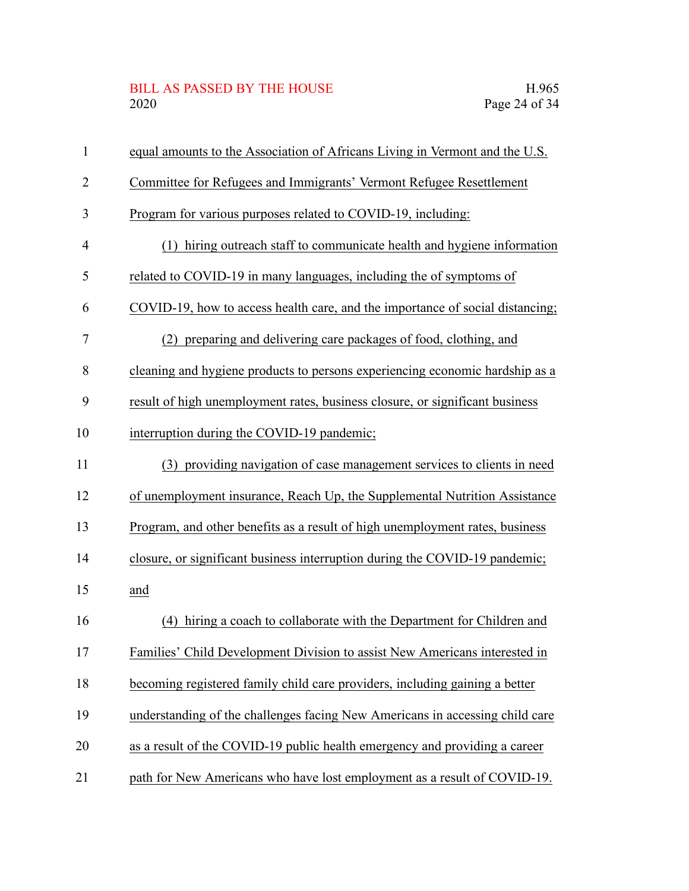## BILL AS PASSED BY THE HOUSE H.965<br>2020 Page 24 of 34

| $\mathbf{1}$   | equal amounts to the Association of Africans Living in Vermont and the U.S.   |
|----------------|-------------------------------------------------------------------------------|
| $\overline{2}$ | Committee for Refugees and Immigrants' Vermont Refugee Resettlement           |
| 3              | Program for various purposes related to COVID-19, including:                  |
| 4              | (1) hiring outreach staff to communicate health and hygiene information       |
| 5              | related to COVID-19 in many languages, including the of symptoms of           |
| 6              | COVID-19, how to access health care, and the importance of social distancing; |
| 7              | (2) preparing and delivering care packages of food, clothing, and             |
| 8              | cleaning and hygiene products to persons experiencing economic hardship as a  |
| 9              | result of high unemployment rates, business closure, or significant business  |
| 10             | interruption during the COVID-19 pandemic;                                    |
| 11             | (3) providing navigation of case management services to clients in need       |
| 12             | of unemployment insurance, Reach Up, the Supplemental Nutrition Assistance    |
| 13             | Program, and other benefits as a result of high unemployment rates, business  |
| 14             | closure, or significant business interruption during the COVID-19 pandemic;   |
| 15             | and                                                                           |
| 16             | (4) hiring a coach to collaborate with the Department for Children and        |
| 17             | Families' Child Development Division to assist New Americans interested in    |
| 18             | becoming registered family child care providers, including gaining a better   |
| 19             | understanding of the challenges facing New Americans in accessing child care  |
| 20             | as a result of the COVID-19 public health emergency and providing a career    |
| 21             | path for New Americans who have lost employment as a result of COVID-19.      |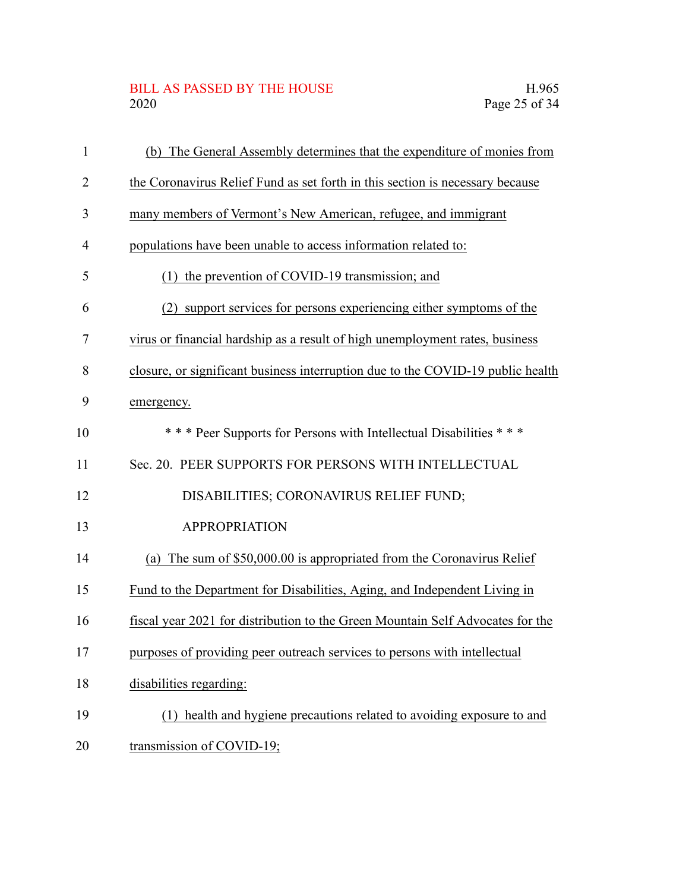## BILL AS PASSED BY THE HOUSE H.965<br>2020 Page 25 of 34

| $\mathbf{1}$   | (b) The General Assembly determines that the expenditure of monies from         |
|----------------|---------------------------------------------------------------------------------|
| $\overline{2}$ | the Coronavirus Relief Fund as set forth in this section is necessary because   |
| 3              | many members of Vermont's New American, refugee, and immigrant                  |
| $\overline{4}$ | populations have been unable to access information related to:                  |
| 5              | (1) the prevention of COVID-19 transmission; and                                |
| 6              | support services for persons experiencing either symptoms of the<br>(2)         |
| 7              | virus or financial hardship as a result of high unemployment rates, business    |
| 8              | closure, or significant business interruption due to the COVID-19 public health |
| 9              | emergency.                                                                      |
| 10             | *** Peer Supports for Persons with Intellectual Disabilities ***                |
| 11             | Sec. 20. PEER SUPPORTS FOR PERSONS WITH INTELLECTUAL                            |
| 12             | DISABILITIES; CORONAVIRUS RELIEF FUND;                                          |
| 13             | <b>APPROPRIATION</b>                                                            |
| 14             | The sum of \$50,000.00 is appropriated from the Coronavirus Relief<br>(a)       |
| 15             | Fund to the Department for Disabilities, Aging, and Independent Living in       |
| 16             | fiscal year 2021 for distribution to the Green Mountain Self Advocates for the  |
| 17             | purposes of providing peer outreach services to persons with intellectual       |
| 18             | disabilities regarding:                                                         |
| 19             | (1) health and hygiene precautions related to avoiding exposure to and          |
| 20             | transmission of COVID-19;                                                       |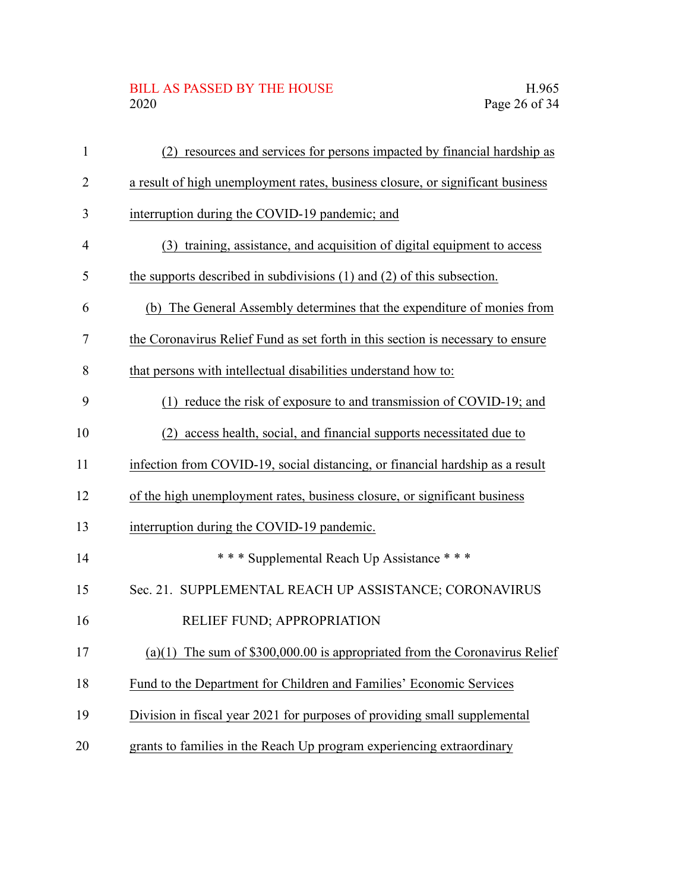## BILL AS PASSED BY THE HOUSE H.965<br>2020 Page 26 of 34

| $\mathbf{1}$   | (2) resources and services for persons impacted by financial hardship as        |
|----------------|---------------------------------------------------------------------------------|
| $\overline{2}$ | a result of high unemployment rates, business closure, or significant business  |
| 3              | interruption during the COVID-19 pandemic; and                                  |
| 4              | (3) training, assistance, and acquisition of digital equipment to access        |
| 5              | the supports described in subdivisions $(1)$ and $(2)$ of this subsection.      |
| 6              | (b) The General Assembly determines that the expenditure of monies from         |
| 7              | the Coronavirus Relief Fund as set forth in this section is necessary to ensure |
| 8              | that persons with intellectual disabilities understand how to:                  |
| 9              | (1) reduce the risk of exposure to and transmission of COVID-19; and            |
| 10             | (2) access health, social, and financial supports necessitated due to           |
| 11             | infection from COVID-19, social distancing, or financial hardship as a result   |
| 12             | of the high unemployment rates, business closure, or significant business       |
| 13             | interruption during the COVID-19 pandemic.                                      |
| 14             | *** Supplemental Reach Up Assistance ***                                        |
| 15             | Sec. 21. SUPPLEMENTAL REACH UP ASSISTANCE; CORONAVIRUS                          |
| 16             | RELIEF FUND; APPROPRIATION                                                      |
| 17             | (a)(1) The sum of $$300,000.00$ is appropriated from the Coronavirus Relief     |
| 18             | Fund to the Department for Children and Families' Economic Services             |
| 19             | Division in fiscal year 2021 for purposes of providing small supplemental       |
| 20             | grants to families in the Reach Up program experiencing extraordinary           |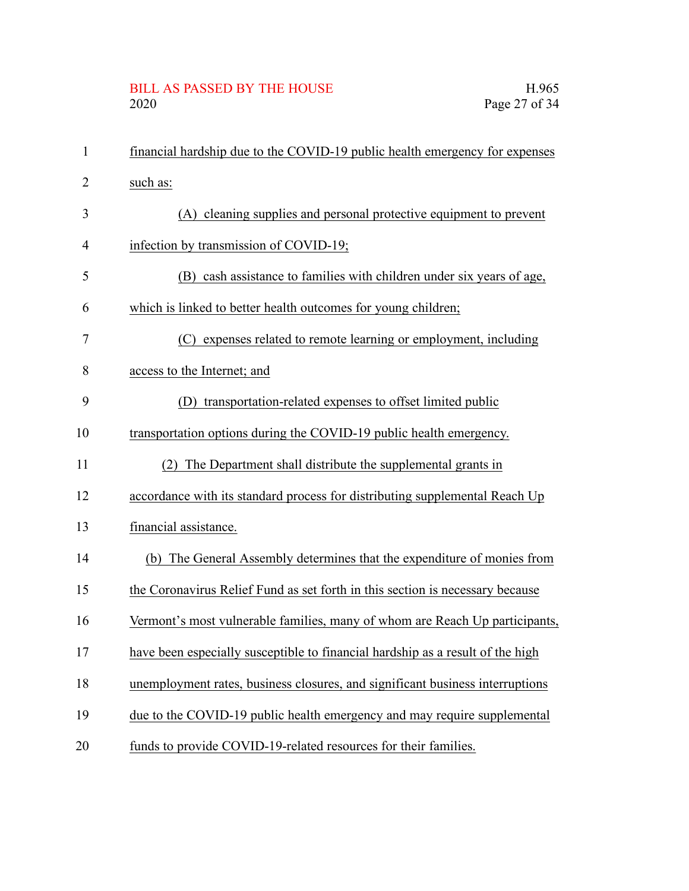# BILL AS PASSED BY THE HOUSE H.965<br>2020 Page 27 of 34

| $\mathbf{1}$   | financial hardship due to the COVID-19 public health emergency for expenses    |
|----------------|--------------------------------------------------------------------------------|
| 2              | such as:                                                                       |
| 3              | (A) cleaning supplies and personal protective equipment to prevent             |
| $\overline{4}$ | infection by transmission of COVID-19;                                         |
| 5              | (B) cash assistance to families with children under six years of age,          |
| 6              | which is linked to better health outcomes for young children;                  |
| 7              | (C) expenses related to remote learning or employment, including               |
| 8              | access to the Internet; and                                                    |
| 9              | transportation-related expenses to offset limited public<br>(1)                |
| 10             | transportation options during the COVID-19 public health emergency.            |
| 11             | The Department shall distribute the supplemental grants in<br>(2)              |
| 12             | accordance with its standard process for distributing supplemental Reach Up    |
| 13             | financial assistance.                                                          |
| 14             | (b) The General Assembly determines that the expenditure of monies from        |
| 15             | the Coronavirus Relief Fund as set forth in this section is necessary because  |
| 16             | Vermont's most vulnerable families, many of whom are Reach Up participants,    |
| 17             | have been especially susceptible to financial hardship as a result of the high |
| 18             | unemployment rates, business closures, and significant business interruptions  |
| 19             | due to the COVID-19 public health emergency and may require supplemental       |
| 20             | funds to provide COVID-19-related resources for their families.                |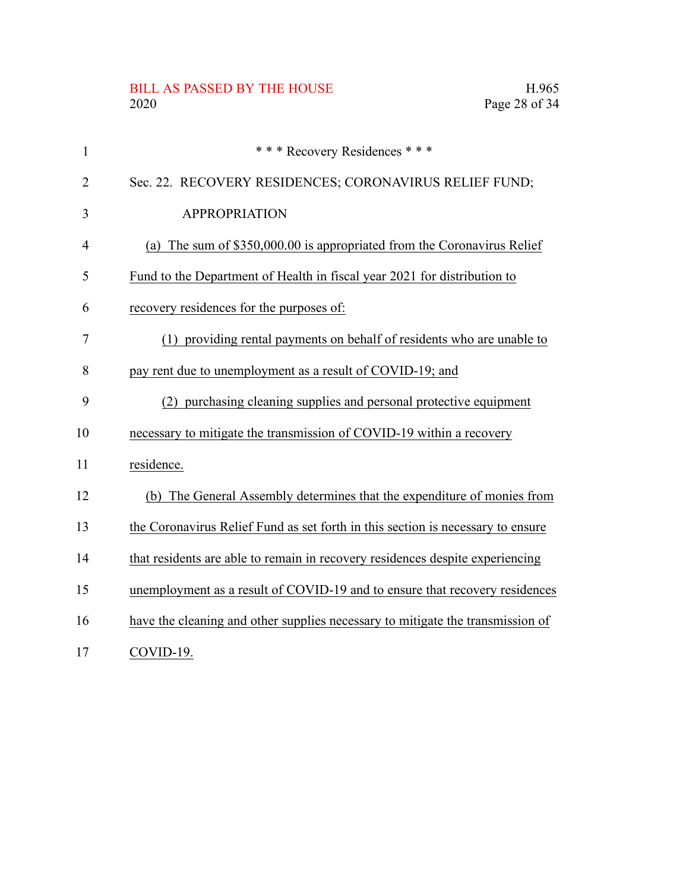# BILL AS PASSED BY THE HOUSE H.965<br>2020 Page 28 of 34

| $\mathbf{1}$   | *** Recovery Residences ***                                                     |
|----------------|---------------------------------------------------------------------------------|
| $\overline{2}$ | Sec. 22. RECOVERY RESIDENCES; CORONAVIRUS RELIEF FUND;                          |
| 3              | <b>APPROPRIATION</b>                                                            |
| 4              | (a) The sum of \$350,000.00 is appropriated from the Coronavirus Relief         |
| 5              | Fund to the Department of Health in fiscal year 2021 for distribution to        |
| 6              | recovery residences for the purposes of:                                        |
| 7              | (1) providing rental payments on behalf of residents who are unable to          |
| 8              | pay rent due to unemployment as a result of COVID-19; and                       |
| 9              | (2) purchasing cleaning supplies and personal protective equipment              |
| 10             | necessary to mitigate the transmission of COVID-19 within a recovery            |
| 11             | residence.                                                                      |
| 12             | (b) The General Assembly determines that the expenditure of monies from         |
| 13             | the Coronavirus Relief Fund as set forth in this section is necessary to ensure |
| 14             | that residents are able to remain in recovery residences despite experiencing   |
| 15             | unemployment as a result of COVID-19 and to ensure that recovery residences     |
| 16             | have the cleaning and other supplies necessary to mitigate the transmission of  |
| 17             | COVID-19.                                                                       |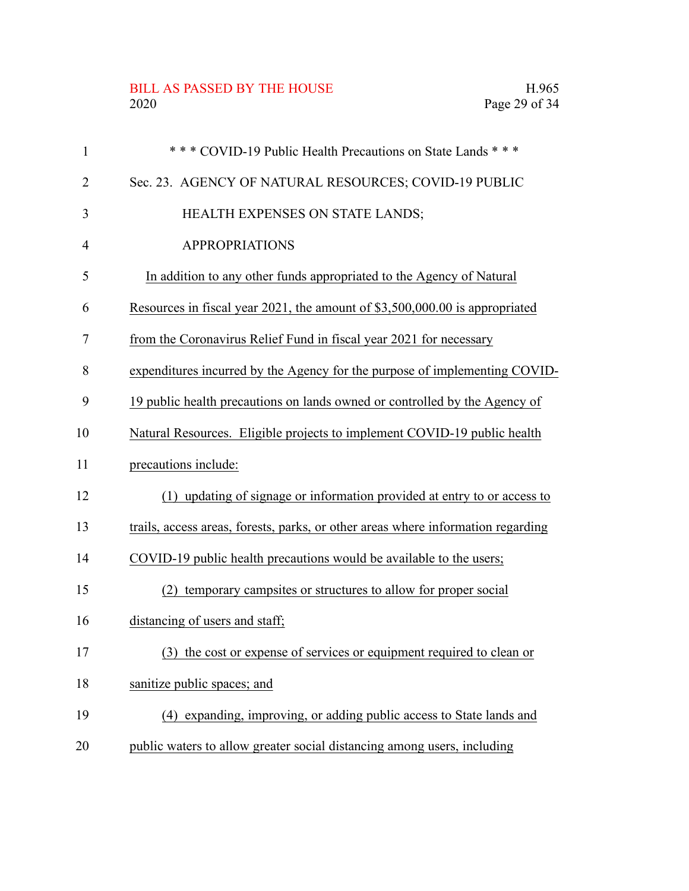#### BILL AS PASSED BY THE HOUSE H.965<br>2020 Page 29 of 34

| $\mathbf{1}$ | *** COVID-19 Public Health Precautions on State Lands ***                        |
|--------------|----------------------------------------------------------------------------------|
| 2            | Sec. 23. AGENCY OF NATURAL RESOURCES; COVID-19 PUBLIC                            |
| 3            | HEALTH EXPENSES ON STATE LANDS;                                                  |
| 4            | <b>APPROPRIATIONS</b>                                                            |
| 5            | In addition to any other funds appropriated to the Agency of Natural             |
| 6            | Resources in fiscal year 2021, the amount of \$3,500,000.00 is appropriated      |
| 7            | from the Coronavirus Relief Fund in fiscal year 2021 for necessary               |
| 8            | expenditures incurred by the Agency for the purpose of implementing COVID-       |
| 9            | 19 public health precautions on lands owned or controlled by the Agency of       |
| 10           | Natural Resources. Eligible projects to implement COVID-19 public health         |
| 11           | precautions include:                                                             |
| 12           | (1) updating of signage or information provided at entry to or access to         |
| 13           | trails, access areas, forests, parks, or other areas where information regarding |
| 14           | COVID-19 public health precautions would be available to the users;              |
| 15           | temporary campsites or structures to allow for proper social<br>(2)              |
| 16           | distancing of users and staff;                                                   |
| 17           | (3) the cost or expense of services or equipment required to clean or            |
| 18           | sanitize public spaces; and                                                      |
| 19           | expanding, improving, or adding public access to State lands and<br>(4)          |
| 20           | public waters to allow greater social distancing among users, including          |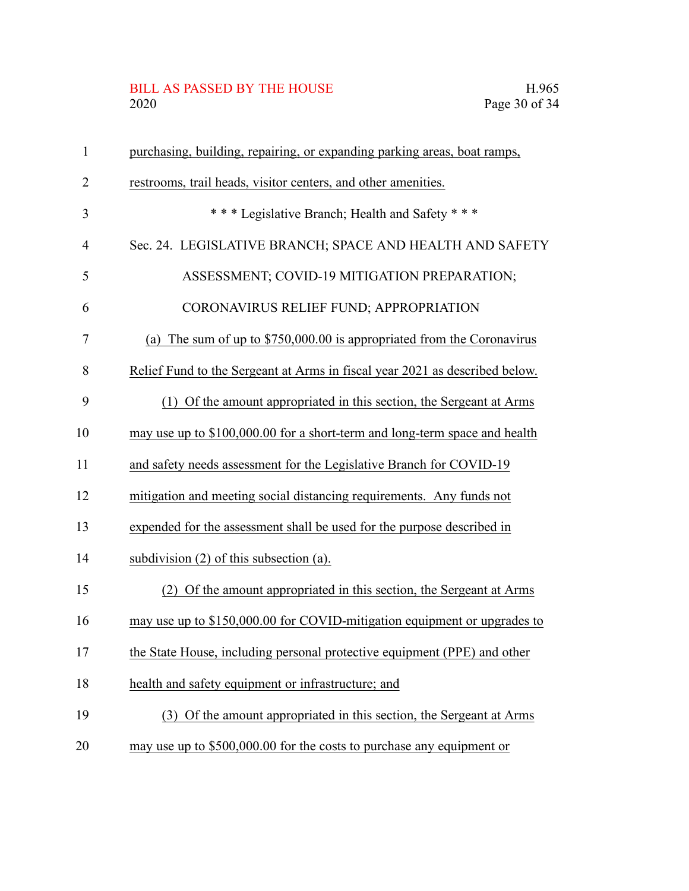# BILL AS PASSED BY THE HOUSE H.965<br>2020 Page 30 of 34

| $\mathbf{1}$   | purchasing, building, repairing, or expanding parking areas, boat ramps,    |
|----------------|-----------------------------------------------------------------------------|
| $\overline{2}$ | restrooms, trail heads, visitor centers, and other amenities.               |
| 3              | *** Legislative Branch; Health and Safety ***                               |
| 4              | Sec. 24. LEGISLATIVE BRANCH; SPACE AND HEALTH AND SAFETY                    |
| 5              | ASSESSMENT; COVID-19 MITIGATION PREPARATION;                                |
| 6              | CORONAVIRUS RELIEF FUND; APPROPRIATION                                      |
| 7              | The sum of up to \$750,000.00 is appropriated from the Coronavirus<br>(a)   |
| 8              | Relief Fund to the Sergeant at Arms in fiscal year 2021 as described below. |
| 9              | (1) Of the amount appropriated in this section, the Sergeant at Arms        |
| 10             | may use up to \$100,000.00 for a short-term and long-term space and health  |
| 11             | and safety needs assessment for the Legislative Branch for COVID-19         |
| 12             | mitigation and meeting social distancing requirements. Any funds not        |
| 13             | expended for the assessment shall be used for the purpose described in      |
| 14             | subdivision $(2)$ of this subsection $(a)$ .                                |
| 15             | Of the amount appropriated in this section, the Sergeant at Arms<br>(2)     |
| 16             | may use up to \$150,000.00 for COVID-mitigation equipment or upgrades to    |
| 17             | the State House, including personal protective equipment (PPE) and other    |
| 18             | health and safety equipment or infrastructure; and                          |
| 19             | (3) Of the amount appropriated in this section, the Sergeant at Arms        |
| 20             | may use up to \$500,000.00 for the costs to purchase any equipment or       |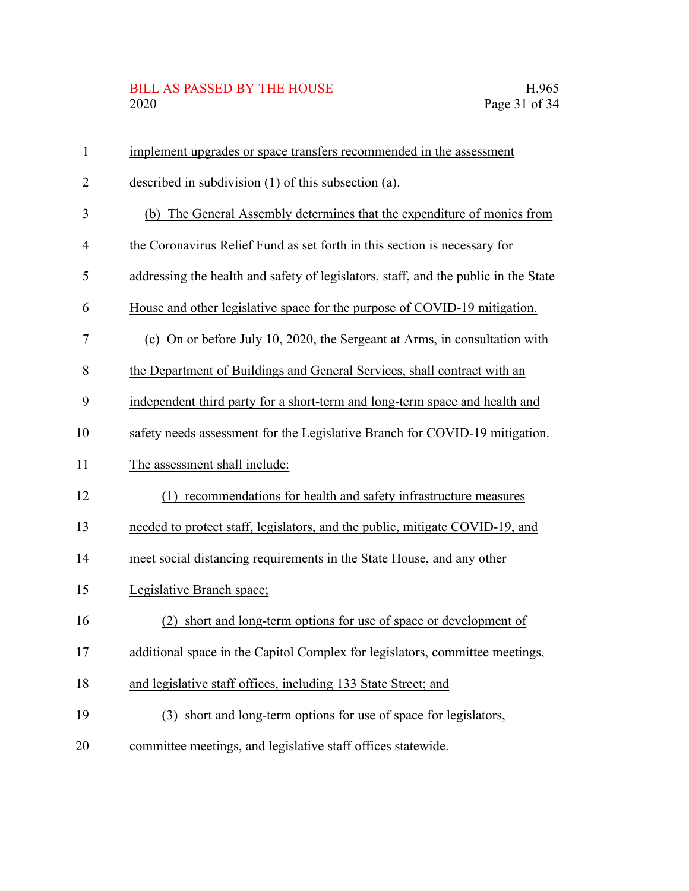# BILL AS PASSED BY THE HOUSE H.965<br>2020 Page 31 of 34

| $\mathbf{1}$ | implement upgrades or space transfers recommended in the assessment                 |
|--------------|-------------------------------------------------------------------------------------|
| 2            | described in subdivision $(1)$ of this subsection $(a)$ .                           |
| 3            | (b) The General Assembly determines that the expenditure of monies from             |
| 4            | the Coronavirus Relief Fund as set forth in this section is necessary for           |
| 5            | addressing the health and safety of legislators, staff, and the public in the State |
| 6            | House and other legislative space for the purpose of COVID-19 mitigation.           |
| 7            | (c) On or before July 10, 2020, the Sergeant at Arms, in consultation with          |
| 8            | the Department of Buildings and General Services, shall contract with an            |
| 9            | independent third party for a short-term and long-term space and health and         |
| 10           | safety needs assessment for the Legislative Branch for COVID-19 mitigation.         |
| 11           | The assessment shall include:                                                       |
| 12           | recommendations for health and safety infrastructure measures<br>(1)                |
| 13           | needed to protect staff, legislators, and the public, mitigate COVID-19, and        |
| 14           | meet social distancing requirements in the State House, and any other               |
| 15           | Legislative Branch space;                                                           |
| 16           | short and long-term options for use of space or development of                      |
| 17           | additional space in the Capitol Complex for legislators, committee meetings,        |
| 18           | and legislative staff offices, including 133 State Street; and                      |
| 19           | short and long-term options for use of space for legislators,<br>(3)                |
| 20           | committee meetings, and legislative staff offices statewide.                        |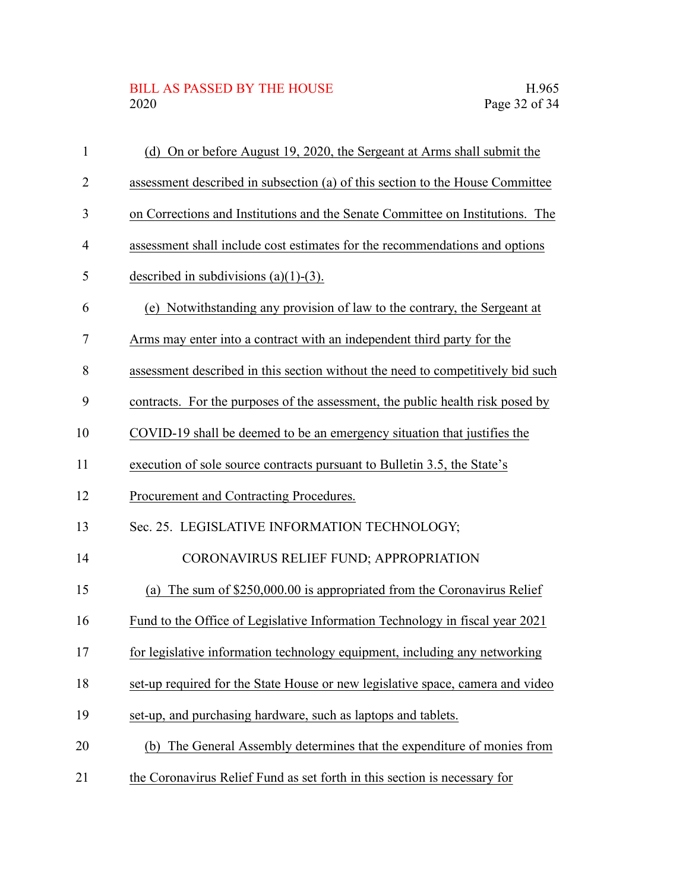#### BILL AS PASSED BY THE HOUSE H.965<br>2020 Page 32 of 34

| $\mathbf{1}$ | (d) On or before August 19, 2020, the Sergeant at Arms shall submit the         |
|--------------|---------------------------------------------------------------------------------|
| 2            | assessment described in subsection (a) of this section to the House Committee   |
| 3            | on Corrections and Institutions and the Senate Committee on Institutions. The   |
| 4            | assessment shall include cost estimates for the recommendations and options     |
| 5            | described in subdivisions $(a)(1)-(3)$ .                                        |
| 6            | (e) Notwithstanding any provision of law to the contrary, the Sergeant at       |
| 7            | Arms may enter into a contract with an independent third party for the          |
| 8            | assessment described in this section without the need to competitively bid such |
| 9            | contracts. For the purposes of the assessment, the public health risk posed by  |
| 10           | COVID-19 shall be deemed to be an emergency situation that justifies the        |
| 11           | execution of sole source contracts pursuant to Bulletin 3.5, the State's        |
| 12           | Procurement and Contracting Procedures.                                         |
| 13           | Sec. 25. LEGISLATIVE INFORMATION TECHNOLOGY;                                    |
| 14           | CORONAVIRUS RELIEF FUND; APPROPRIATION                                          |
| 15           | (a) The sum of \$250,000.00 is appropriated from the Coronavirus Relief         |
| 16           | Fund to the Office of Legislative Information Technology in fiscal year 2021    |
| 17           | for legislative information technology equipment, including any networking      |
| 18           | set-up required for the State House or new legislative space, camera and video  |
| 19           | set-up, and purchasing hardware, such as laptops and tablets.                   |
| 20           | The General Assembly determines that the expenditure of monies from<br>(b)      |
| 21           | the Coronavirus Relief Fund as set forth in this section is necessary for       |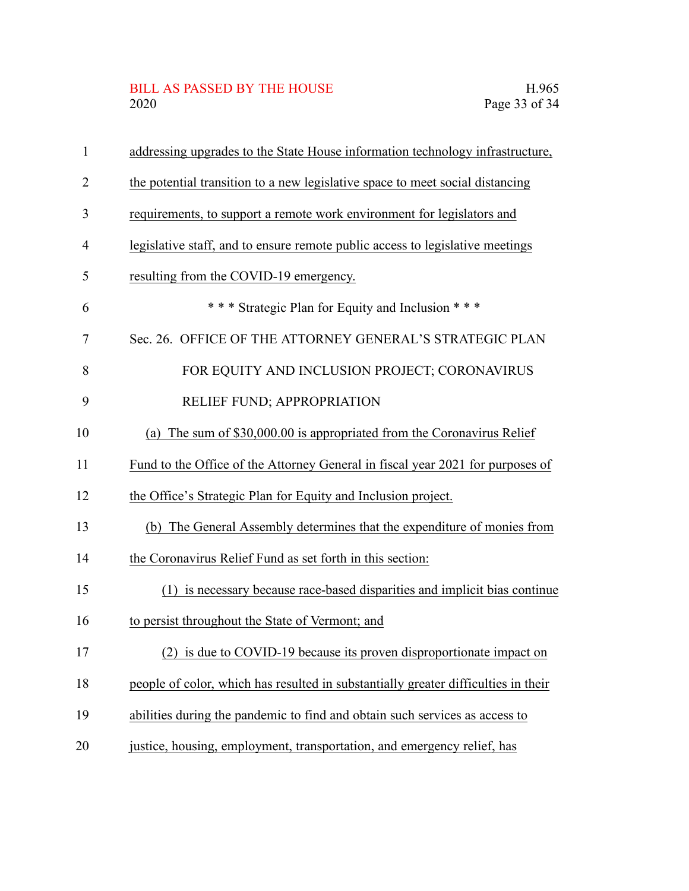## BILL AS PASSED BY THE HOUSE H.965<br>2020 Page 33 of 34

| $\mathbf{1}$   | addressing upgrades to the State House information technology infrastructure,      |
|----------------|------------------------------------------------------------------------------------|
| 2              | the potential transition to a new legislative space to meet social distancing      |
| 3              | requirements, to support a remote work environment for legislators and             |
| $\overline{4}$ | legislative staff, and to ensure remote public access to legislative meetings      |
| 5              | resulting from the COVID-19 emergency.                                             |
| 6              | *** Strategic Plan for Equity and Inclusion ***                                    |
| 7              | Sec. 26. OFFICE OF THE ATTORNEY GENERAL'S STRATEGIC PLAN                           |
| 8              | FOR EQUITY AND INCLUSION PROJECT; CORONAVIRUS                                      |
| 9              | RELIEF FUND; APPROPRIATION                                                         |
| 10             | (a) The sum of \$30,000.00 is appropriated from the Coronavirus Relief             |
| 11             | Fund to the Office of the Attorney General in fiscal year 2021 for purposes of     |
| 12             | the Office's Strategic Plan for Equity and Inclusion project.                      |
| 13             | (b) The General Assembly determines that the expenditure of monies from            |
| 14             | the Coronavirus Relief Fund as set forth in this section:                          |
| 15             | is necessary because race-based disparities and implicit bias continue<br>(1)      |
| 16             | to persist throughout the State of Vermont; and                                    |
| 17             | (2) is due to COVID-19 because its proven disproportionate impact on               |
| 18             | people of color, which has resulted in substantially greater difficulties in their |
| 19             | abilities during the pandemic to find and obtain such services as access to        |
| 20             | justice, housing, employment, transportation, and emergency relief, has            |